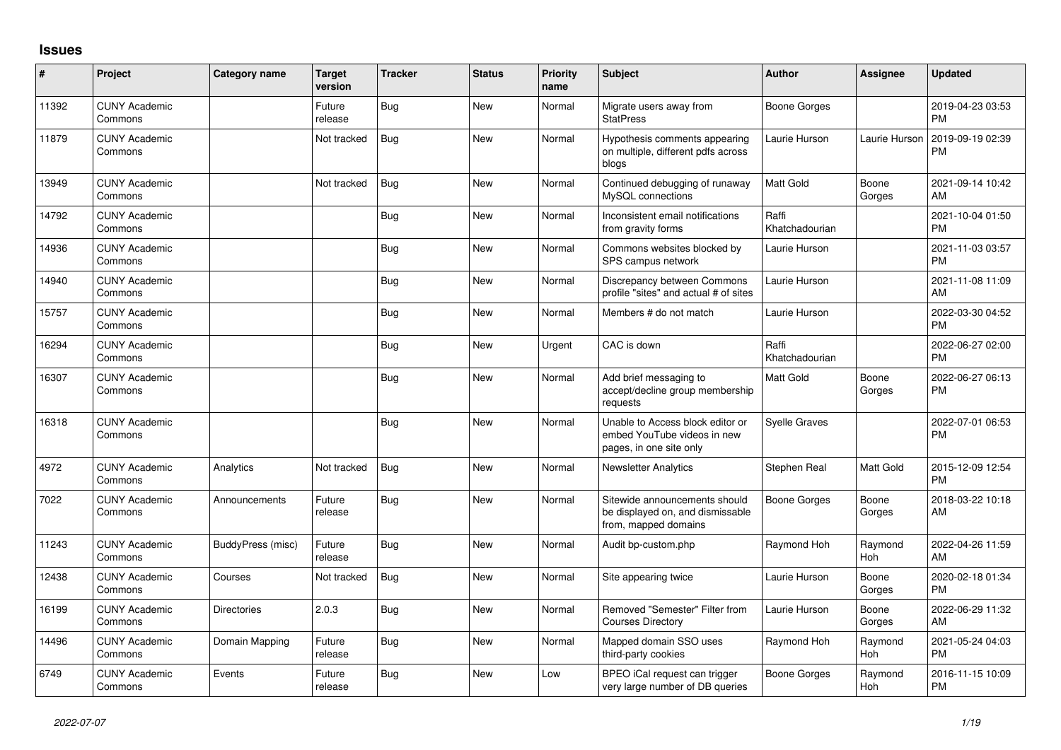## **Issues**

| #     | Project                         | <b>Category name</b> | <b>Target</b><br>version | <b>Tracker</b> | <b>Status</b> | <b>Priority</b><br>name | <b>Subject</b>                                                                             | <b>Author</b>           | <b>Assignee</b> | <b>Updated</b>                |
|-------|---------------------------------|----------------------|--------------------------|----------------|---------------|-------------------------|--------------------------------------------------------------------------------------------|-------------------------|-----------------|-------------------------------|
| 11392 | <b>CUNY Academic</b><br>Commons |                      | Future<br>release        | <b>Bug</b>     | <b>New</b>    | Normal                  | Migrate users away from<br><b>StatPress</b>                                                | <b>Boone Gorges</b>     |                 | 2019-04-23 03:53<br><b>PM</b> |
| 11879 | <b>CUNY Academic</b><br>Commons |                      | Not tracked              | <b>Bug</b>     | New           | Normal                  | Hypothesis comments appearing<br>on multiple, different pdfs across<br>blogs               | Laurie Hurson           | Laurie Hurson   | 2019-09-19 02:39<br><b>PM</b> |
| 13949 | <b>CUNY Academic</b><br>Commons |                      | Not tracked              | Bug            | <b>New</b>    | Normal                  | Continued debugging of runaway<br>MySQL connections                                        | Matt Gold               | Boone<br>Gorges | 2021-09-14 10:42<br>AM        |
| 14792 | <b>CUNY Academic</b><br>Commons |                      |                          | Bug            | <b>New</b>    | Normal                  | Inconsistent email notifications<br>from gravity forms                                     | Raffi<br>Khatchadourian |                 | 2021-10-04 01:50<br><b>PM</b> |
| 14936 | <b>CUNY Academic</b><br>Commons |                      |                          | <b>Bug</b>     | <b>New</b>    | Normal                  | Commons websites blocked by<br>SPS campus network                                          | Laurie Hurson           |                 | 2021-11-03 03:57<br><b>PM</b> |
| 14940 | <b>CUNY Academic</b><br>Commons |                      |                          | Bug            | <b>New</b>    | Normal                  | Discrepancy between Commons<br>profile "sites" and actual # of sites                       | Laurie Hurson           |                 | 2021-11-08 11:09<br>AM        |
| 15757 | <b>CUNY Academic</b><br>Commons |                      |                          | <b>Bug</b>     | <b>New</b>    | Normal                  | Members # do not match                                                                     | Laurie Hurson           |                 | 2022-03-30 04:52<br>PM        |
| 16294 | <b>CUNY Academic</b><br>Commons |                      |                          | <b>Bug</b>     | <b>New</b>    | Urgent                  | CAC is down                                                                                | Raffi<br>Khatchadourian |                 | 2022-06-27 02:00<br><b>PM</b> |
| 16307 | <b>CUNY Academic</b><br>Commons |                      |                          | <b>Bug</b>     | <b>New</b>    | Normal                  | Add brief messaging to<br>accept/decline group membership<br>requests                      | Matt Gold               | Boone<br>Gorges | 2022-06-27 06:13<br><b>PM</b> |
| 16318 | <b>CUNY Academic</b><br>Commons |                      |                          | <b>Bug</b>     | <b>New</b>    | Normal                  | Unable to Access block editor or<br>embed YouTube videos in new<br>pages, in one site only | <b>Syelle Graves</b>    |                 | 2022-07-01 06:53<br><b>PM</b> |
| 4972  | <b>CUNY Academic</b><br>Commons | Analytics            | Not tracked              | Bug            | <b>New</b>    | Normal                  | <b>Newsletter Analytics</b>                                                                | Stephen Real            | Matt Gold       | 2015-12-09 12:54<br><b>PM</b> |
| 7022  | <b>CUNY Academic</b><br>Commons | Announcements        | Future<br>release        | Bug            | <b>New</b>    | Normal                  | Sitewide announcements should<br>be displayed on, and dismissable<br>from, mapped domains  | Boone Gorges            | Boone<br>Gorges | 2018-03-22 10:18<br>AM        |
| 11243 | <b>CUNY Academic</b><br>Commons | BuddyPress (misc)    | Future<br>release        | <b>Bug</b>     | <b>New</b>    | Normal                  | Audit bp-custom.php                                                                        | Raymond Hoh             | Raymond<br>Hoh  | 2022-04-26 11:59<br>AM        |
| 12438 | <b>CUNY Academic</b><br>Commons | Courses              | Not tracked              | Bug            | <b>New</b>    | Normal                  | Site appearing twice                                                                       | Laurie Hurson           | Boone<br>Gorges | 2020-02-18 01:34<br><b>PM</b> |
| 16199 | <b>CUNY Academic</b><br>Commons | <b>Directories</b>   | 2.0.3                    | Bug            | <b>New</b>    | Normal                  | Removed "Semester" Filter from<br><b>Courses Directory</b>                                 | Laurie Hurson           | Boone<br>Gorges | 2022-06-29 11:32<br>AM        |
| 14496 | <b>CUNY Academic</b><br>Commons | Domain Mapping       | Future<br>release        | <b>Bug</b>     | <b>New</b>    | Normal                  | Mapped domain SSO uses<br>third-party cookies                                              | Raymond Hoh             | Raymond<br>Hoh  | 2021-05-24 04:03<br><b>PM</b> |
| 6749  | <b>CUNY Academic</b><br>Commons | Events               | Future<br>release        | <b>Bug</b>     | <b>New</b>    | Low                     | BPEO iCal request can trigger<br>very large number of DB queries                           | <b>Boone Gorges</b>     | Raymond<br>Hoh  | 2016-11-15 10:09<br><b>PM</b> |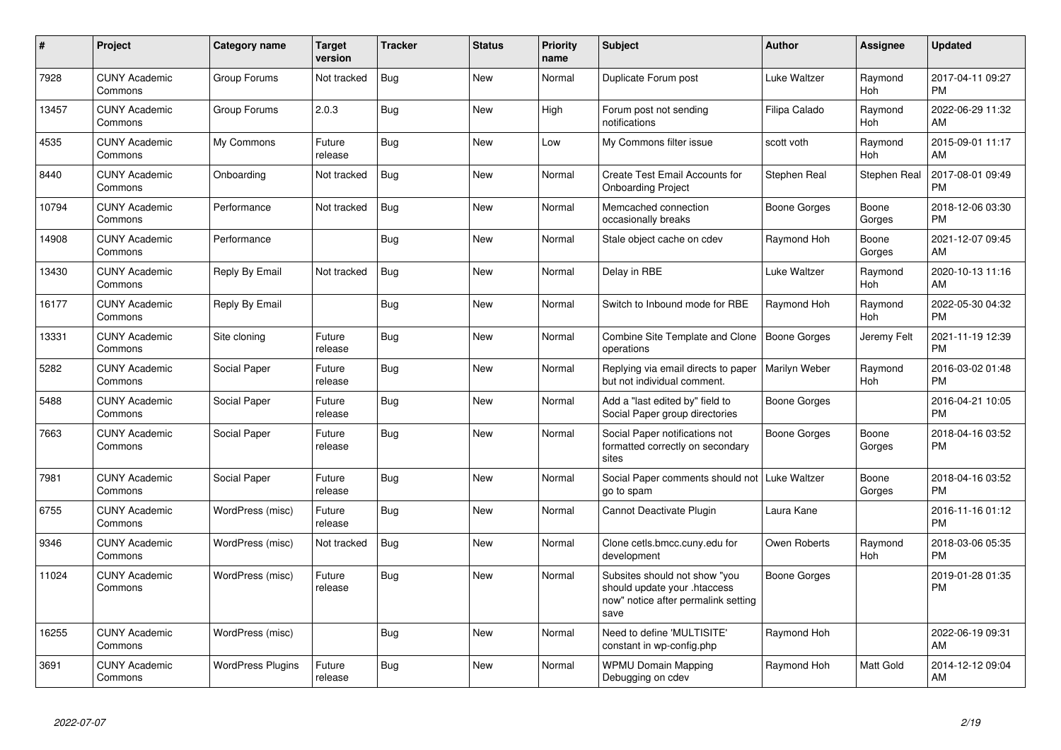| $\pmb{\#}$ | <b>Project</b>                  | <b>Category name</b>     | Target<br>version | <b>Tracker</b> | <b>Status</b> | <b>Priority</b><br>name | <b>Subject</b>                                                                                               | <b>Author</b>       | Assignee            | <b>Updated</b>                |
|------------|---------------------------------|--------------------------|-------------------|----------------|---------------|-------------------------|--------------------------------------------------------------------------------------------------------------|---------------------|---------------------|-------------------------------|
| 7928       | <b>CUNY Academic</b><br>Commons | Group Forums             | Not tracked       | <b>Bug</b>     | <b>New</b>    | Normal                  | Duplicate Forum post                                                                                         | Luke Waltzer        | Raymond<br>Hoh      | 2017-04-11 09:27<br><b>PM</b> |
| 13457      | <b>CUNY Academic</b><br>Commons | Group Forums             | 2.0.3             | Bug            | <b>New</b>    | High                    | Forum post not sending<br>notifications                                                                      | Filipa Calado       | Raymond<br>Hoh      | 2022-06-29 11:32<br>AM        |
| 4535       | <b>CUNY Academic</b><br>Commons | My Commons               | Future<br>release | Bug            | <b>New</b>    | Low                     | My Commons filter issue                                                                                      | scott voth          | Raymond<br>Hoh      | 2015-09-01 11:17<br>AM        |
| 8440       | <b>CUNY Academic</b><br>Commons | Onboarding               | Not tracked       | <b>Bug</b>     | <b>New</b>    | Normal                  | <b>Create Test Email Accounts for</b><br><b>Onboarding Project</b>                                           | Stephen Real        | <b>Stephen Real</b> | 2017-08-01 09:49<br><b>PM</b> |
| 10794      | <b>CUNY Academic</b><br>Commons | Performance              | Not tracked       | <b>Bug</b>     | <b>New</b>    | Normal                  | Memcached connection<br>occasionally breaks                                                                  | Boone Gorges        | Boone<br>Gorges     | 2018-12-06 03:30<br><b>PM</b> |
| 14908      | <b>CUNY Academic</b><br>Commons | Performance              |                   | <b>Bug</b>     | New           | Normal                  | Stale object cache on cdev                                                                                   | Raymond Hoh         | Boone<br>Gorges     | 2021-12-07 09:45<br>AM        |
| 13430      | <b>CUNY Academic</b><br>Commons | Reply By Email           | Not tracked       | Bug            | <b>New</b>    | Normal                  | Delay in RBE                                                                                                 | Luke Waltzer        | Raymond<br>Hoh      | 2020-10-13 11:16<br>AM        |
| 16177      | <b>CUNY Academic</b><br>Commons | Reply By Email           |                   | <b>Bug</b>     | <b>New</b>    | Normal                  | Switch to Inbound mode for RBE                                                                               | Raymond Hoh         | Raymond<br>Hoh      | 2022-05-30 04:32<br><b>PM</b> |
| 13331      | <b>CUNY Academic</b><br>Commons | Site cloning             | Future<br>release | <b>Bug</b>     | New           | Normal                  | Combine Site Template and Clone<br>operations                                                                | Boone Gorges        | Jeremy Felt         | 2021-11-19 12:39<br><b>PM</b> |
| 5282       | <b>CUNY Academic</b><br>Commons | Social Paper             | Future<br>release | <b>Bug</b>     | <b>New</b>    | Normal                  | Replying via email directs to paper<br>but not individual comment.                                           | Marilyn Weber       | Raymond<br>Hoh      | 2016-03-02 01:48<br><b>PM</b> |
| 5488       | <b>CUNY Academic</b><br>Commons | Social Paper             | Future<br>release | Bug            | New           | Normal                  | Add a "last edited by" field to<br>Social Paper group directories                                            | Boone Gorges        |                     | 2016-04-21 10:05<br><b>PM</b> |
| 7663       | <b>CUNY Academic</b><br>Commons | Social Paper             | Future<br>release | <b>Bug</b>     | New           | Normal                  | Social Paper notifications not<br>formatted correctly on secondary<br>sites                                  | Boone Gorges        | Boone<br>Gorges     | 2018-04-16 03:52<br><b>PM</b> |
| 7981       | <b>CUNY Academic</b><br>Commons | Social Paper             | Future<br>release | <b>Bug</b>     | <b>New</b>    | Normal                  | Social Paper comments should not<br>go to spam                                                               | <b>Luke Waltzer</b> | Boone<br>Gorges     | 2018-04-16 03:52<br><b>PM</b> |
| 6755       | <b>CUNY Academic</b><br>Commons | WordPress (misc)         | Future<br>release | Bug            | New           | Normal                  | Cannot Deactivate Plugin                                                                                     | Laura Kane          |                     | 2016-11-16 01:12<br><b>PM</b> |
| 9346       | <b>CUNY Academic</b><br>Commons | WordPress (misc)         | Not tracked       | <b>Bug</b>     | <b>New</b>    | Normal                  | Clone cetls.bmcc.cuny.edu for<br>development                                                                 | Owen Roberts        | Raymond<br>Hoh      | 2018-03-06 05:35<br><b>PM</b> |
| 11024      | <b>CUNY Academic</b><br>Commons | WordPress (misc)         | Future<br>release | <b>Bug</b>     | New           | Normal                  | Subsites should not show "you<br>should update your .htaccess<br>now" notice after permalink setting<br>save | Boone Gorges        |                     | 2019-01-28 01:35<br><b>PM</b> |
| 16255      | <b>CUNY Academic</b><br>Commons | WordPress (misc)         |                   | <b>Bug</b>     | <b>New</b>    | Normal                  | Need to define 'MULTISITE'<br>constant in wp-config.php                                                      | Raymond Hoh         |                     | 2022-06-19 09:31<br>AM        |
| 3691       | <b>CUNY Academic</b><br>Commons | <b>WordPress Plugins</b> | Future<br>release | <b>Bug</b>     | <b>New</b>    | Normal                  | <b>WPMU Domain Mapping</b><br>Debugging on cdev                                                              | Raymond Hoh         | Matt Gold           | 2014-12-12 09:04<br>AM        |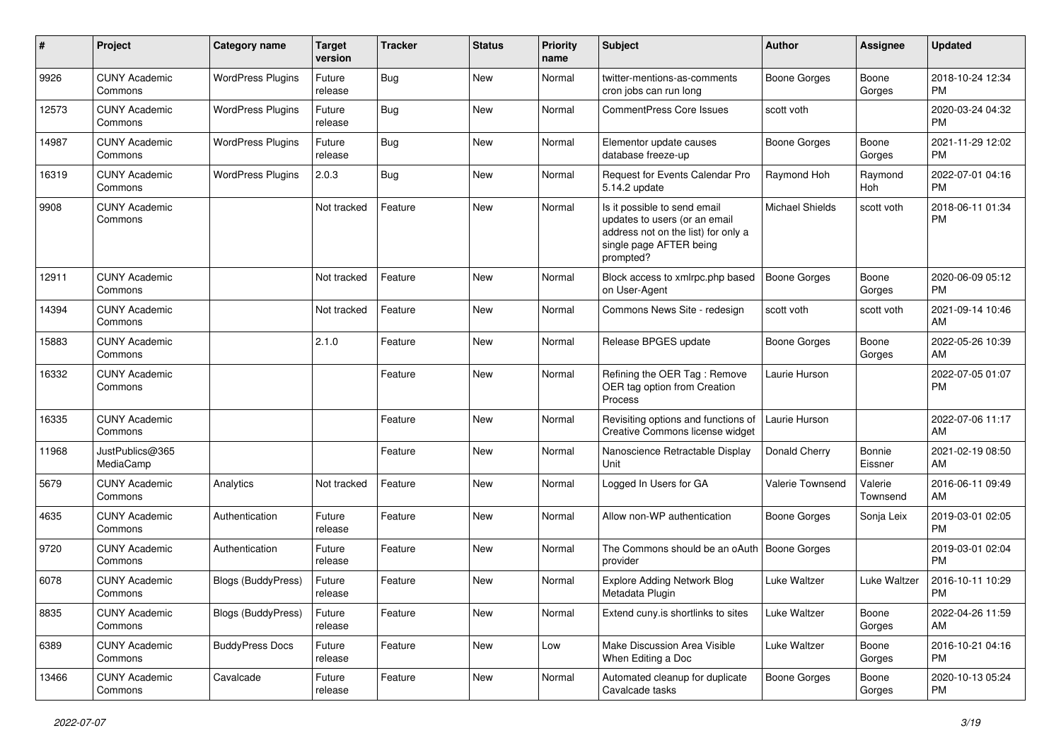| $\pmb{\#}$ | Project                         | <b>Category name</b>      | <b>Target</b><br>version | <b>Tracker</b> | <b>Status</b> | <b>Priority</b><br>name | <b>Subject</b>                                                                                                                               | Author              | <b>Assignee</b>     | <b>Updated</b>                |
|------------|---------------------------------|---------------------------|--------------------------|----------------|---------------|-------------------------|----------------------------------------------------------------------------------------------------------------------------------------------|---------------------|---------------------|-------------------------------|
| 9926       | <b>CUNY Academic</b><br>Commons | <b>WordPress Plugins</b>  | Future<br>release        | <b>Bug</b>     | New           | Normal                  | twitter-mentions-as-comments<br>cron jobs can run long                                                                                       | <b>Boone Gorges</b> | Boone<br>Gorges     | 2018-10-24 12:34<br>PM        |
| 12573      | <b>CUNY Academic</b><br>Commons | <b>WordPress Plugins</b>  | Future<br>release        | Bug            | New           | Normal                  | <b>CommentPress Core Issues</b>                                                                                                              | scott voth          |                     | 2020-03-24 04:32<br>PM        |
| 14987      | <b>CUNY Academic</b><br>Commons | <b>WordPress Plugins</b>  | Future<br>release        | Bug            | <b>New</b>    | Normal                  | Elementor update causes<br>database freeze-up                                                                                                | <b>Boone Gorges</b> | Boone<br>Gorges     | 2021-11-29 12:02<br>PM        |
| 16319      | <b>CUNY Academic</b><br>Commons | <b>WordPress Plugins</b>  | 2.0.3                    | Bug            | <b>New</b>    | Normal                  | Request for Events Calendar Pro<br>5.14.2 update                                                                                             | Raymond Hoh         | Raymond<br>Hoh      | 2022-07-01 04:16<br><b>PM</b> |
| 9908       | <b>CUNY Academic</b><br>Commons |                           | Not tracked              | Feature        | <b>New</b>    | Normal                  | Is it possible to send email<br>updates to users (or an email<br>address not on the list) for only a<br>single page AFTER being<br>prompted? | Michael Shields     | scott voth          | 2018-06-11 01:34<br><b>PM</b> |
| 12911      | <b>CUNY Academic</b><br>Commons |                           | Not tracked              | Feature        | New           | Normal                  | Block access to xmlrpc.php based<br>on User-Agent                                                                                            | <b>Boone Gorges</b> | Boone<br>Gorges     | 2020-06-09 05:12<br><b>PM</b> |
| 14394      | <b>CUNY Academic</b><br>Commons |                           | Not tracked              | Feature        | <b>New</b>    | Normal                  | Commons News Site - redesign                                                                                                                 | scott voth          | scott voth          | 2021-09-14 10:46<br>AM        |
| 15883      | <b>CUNY Academic</b><br>Commons |                           | 2.1.0                    | Feature        | New           | Normal                  | Release BPGES update                                                                                                                         | <b>Boone Gorges</b> | Boone<br>Gorges     | 2022-05-26 10:39<br>AM        |
| 16332      | <b>CUNY Academic</b><br>Commons |                           |                          | Feature        | <b>New</b>    | Normal                  | Refining the OER Tag: Remove<br>OER tag option from Creation<br>Process                                                                      | Laurie Hurson       |                     | 2022-07-05 01:07<br><b>PM</b> |
| 16335      | <b>CUNY Academic</b><br>Commons |                           |                          | Feature        | <b>New</b>    | Normal                  | Revisiting options and functions of<br>Creative Commons license widget                                                                       | Laurie Hurson       |                     | 2022-07-06 11:17<br>AM        |
| 11968      | JustPublics@365<br>MediaCamp    |                           |                          | Feature        | <b>New</b>    | Normal                  | Nanoscience Retractable Display<br>Unit                                                                                                      | Donald Cherry       | Bonnie<br>Eissner   | 2021-02-19 08:50<br>AM        |
| 5679       | <b>CUNY Academic</b><br>Commons | Analytics                 | Not tracked              | Feature        | <b>New</b>    | Normal                  | Logged In Users for GA                                                                                                                       | Valerie Townsend    | Valerie<br>Townsend | 2016-06-11 09:49<br>AM        |
| 4635       | <b>CUNY Academic</b><br>Commons | Authentication            | Future<br>release        | Feature        | <b>New</b>    | Normal                  | Allow non-WP authentication                                                                                                                  | <b>Boone Gorges</b> | Sonja Leix          | 2019-03-01 02:05<br><b>PM</b> |
| 9720       | <b>CUNY Academic</b><br>Commons | Authentication            | Future<br>release        | Feature        | New           | Normal                  | The Commons should be an oAuth<br>provider                                                                                                   | <b>Boone Gorges</b> |                     | 2019-03-01 02:04<br><b>PM</b> |
| 6078       | <b>CUNY Academic</b><br>Commons | <b>Blogs (BuddyPress)</b> | Future<br>release        | Feature        | <b>New</b>    | Normal                  | <b>Explore Adding Network Blog</b><br>Metadata Plugin                                                                                        | Luke Waltzer        | Luke Waltzer        | 2016-10-11 10:29<br><b>PM</b> |
| 8835       | <b>CUNY Academic</b><br>Commons | <b>Blogs (BuddyPress)</b> | Future<br>release        | Feature        | New           | Normal                  | Extend cuny is shortlinks to sites                                                                                                           | Luke Waltzer        | Boone<br>Gorges     | 2022-04-26 11:59<br>AM        |
| 6389       | <b>CUNY Academic</b><br>Commons | <b>BuddyPress Docs</b>    | Future<br>release        | Feature        | New           | Low                     | Make Discussion Area Visible<br>When Editing a Doc                                                                                           | Luke Waltzer        | Boone<br>Gorges     | 2016-10-21 04:16<br><b>PM</b> |
| 13466      | <b>CUNY Academic</b><br>Commons | Cavalcade                 | Future<br>release        | Feature        | New           | Normal                  | Automated cleanup for duplicate<br>Cavalcade tasks                                                                                           | Boone Gorges        | Boone<br>Gorges     | 2020-10-13 05:24<br>PM        |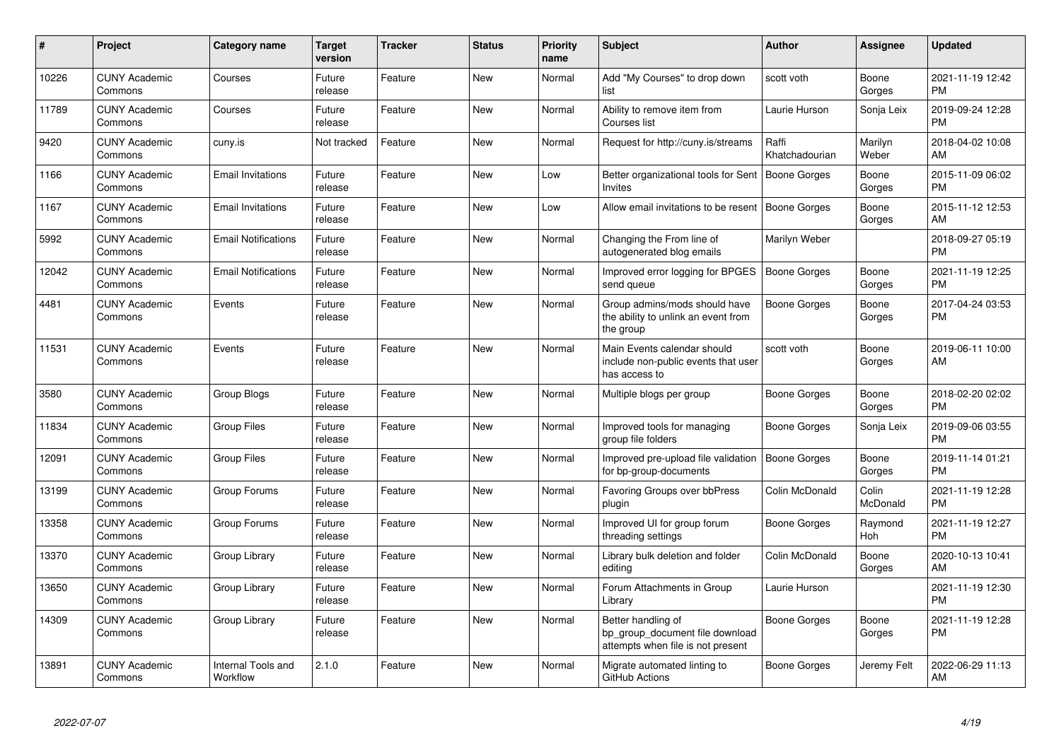| #     | Project                         | <b>Category name</b>           | <b>Target</b><br>version | <b>Tracker</b> | <b>Status</b> | <b>Priority</b><br>name | <b>Subject</b>                                                                             | <b>Author</b>           | Assignee          | <b>Updated</b>                |
|-------|---------------------------------|--------------------------------|--------------------------|----------------|---------------|-------------------------|--------------------------------------------------------------------------------------------|-------------------------|-------------------|-------------------------------|
| 10226 | <b>CUNY Academic</b><br>Commons | Courses                        | Future<br>release        | Feature        | <b>New</b>    | Normal                  | Add "My Courses" to drop down<br>list                                                      | scott voth              | Boone<br>Gorges   | 2021-11-19 12:42<br><b>PM</b> |
| 11789 | <b>CUNY Academic</b><br>Commons | Courses                        | Future<br>release        | Feature        | <b>New</b>    | Normal                  | Ability to remove item from<br>Courses list                                                | Laurie Hurson           | Sonja Leix        | 2019-09-24 12:28<br><b>PM</b> |
| 9420  | <b>CUNY Academic</b><br>Commons | cuny.is                        | Not tracked              | Feature        | <b>New</b>    | Normal                  | Request for http://cuny.is/streams                                                         | Raffi<br>Khatchadourian | Marilyn<br>Weber  | 2018-04-02 10:08<br>AM        |
| 1166  | <b>CUNY Academic</b><br>Commons | <b>Email Invitations</b>       | Future<br>release        | Feature        | New           | Low                     | Better organizational tools for Sent   Boone Gorges<br>Invites                             |                         | Boone<br>Gorges   | 2015-11-09 06:02<br><b>PM</b> |
| 1167  | <b>CUNY Academic</b><br>Commons | <b>Email Invitations</b>       | Future<br>release        | Feature        | New           | Low                     | Allow email invitations to be resent   Boone Gorges                                        |                         | Boone<br>Gorges   | 2015-11-12 12:53<br>AM        |
| 5992  | <b>CUNY Academic</b><br>Commons | <b>Email Notifications</b>     | Future<br>release        | Feature        | <b>New</b>    | Normal                  | Changing the From line of<br>autogenerated blog emails                                     | Marilyn Weber           |                   | 2018-09-27 05:19<br><b>PM</b> |
| 12042 | <b>CUNY Academic</b><br>Commons | <b>Email Notifications</b>     | Future<br>release        | Feature        | New           | Normal                  | Improved error logging for BPGES<br>send queue                                             | Boone Gorges            | Boone<br>Gorges   | 2021-11-19 12:25<br><b>PM</b> |
| 4481  | <b>CUNY Academic</b><br>Commons | Events                         | Future<br>release        | Feature        | <b>New</b>    | Normal                  | Group admins/mods should have<br>the ability to unlink an event from<br>the group          | Boone Gorges            | Boone<br>Gorges   | 2017-04-24 03:53<br><b>PM</b> |
| 11531 | <b>CUNY Academic</b><br>Commons | Events                         | Future<br>release        | Feature        | New           | Normal                  | Main Events calendar should<br>include non-public events that user<br>has access to        | scott voth              | Boone<br>Gorges   | 2019-06-11 10:00<br>AM        |
| 3580  | <b>CUNY Academic</b><br>Commons | Group Blogs                    | Future<br>release        | Feature        | <b>New</b>    | Normal                  | Multiple blogs per group                                                                   | Boone Gorges            | Boone<br>Gorges   | 2018-02-20 02:02<br><b>PM</b> |
| 11834 | <b>CUNY Academic</b><br>Commons | <b>Group Files</b>             | Future<br>release        | Feature        | <b>New</b>    | Normal                  | Improved tools for managing<br>group file folders                                          | Boone Gorges            | Sonja Leix        | 2019-09-06 03:55<br><b>PM</b> |
| 12091 | <b>CUNY Academic</b><br>Commons | <b>Group Files</b>             | Future<br>release        | Feature        | New           | Normal                  | Improved pre-upload file validation<br>for bp-group-documents                              | Boone Gorges            | Boone<br>Gorges   | 2019-11-14 01:21<br>PM        |
| 13199 | <b>CUNY Academic</b><br>Commons | Group Forums                   | Future<br>release        | Feature        | <b>New</b>    | Normal                  | Favoring Groups over bbPress<br>plugin                                                     | Colin McDonald          | Colin<br>McDonald | 2021-11-19 12:28<br><b>PM</b> |
| 13358 | <b>CUNY Academic</b><br>Commons | Group Forums                   | Future<br>release        | Feature        | New           | Normal                  | Improved UI for group forum<br>threading settings                                          | Boone Gorges            | Raymond<br>Hoh    | 2021-11-19 12:27<br><b>PM</b> |
| 13370 | <b>CUNY Academic</b><br>Commons | Group Library                  | Future<br>release        | Feature        | <b>New</b>    | Normal                  | Library bulk deletion and folder<br>editing                                                | Colin McDonald          | Boone<br>Gorges   | 2020-10-13 10:41<br>AM        |
| 13650 | <b>CUNY Academic</b><br>Commons | Group Library                  | Future<br>release        | Feature        | <b>New</b>    | Normal                  | Forum Attachments in Group<br>Library                                                      | Laurie Hurson           |                   | 2021-11-19 12:30<br><b>PM</b> |
| 14309 | <b>CUNY Academic</b><br>Commons | Group Library                  | Future<br>release        | Feature        | <b>New</b>    | Normal                  | Better handling of<br>bp group document file download<br>attempts when file is not present | <b>Boone Gorges</b>     | Boone<br>Gorges   | 2021-11-19 12:28<br>PM        |
| 13891 | <b>CUNY Academic</b><br>Commons | Internal Tools and<br>Workflow | 2.1.0                    | Feature        | <b>New</b>    | Normal                  | Migrate automated linting to<br>GitHub Actions                                             | Boone Gorges            | Jeremy Felt       | 2022-06-29 11:13<br>AM        |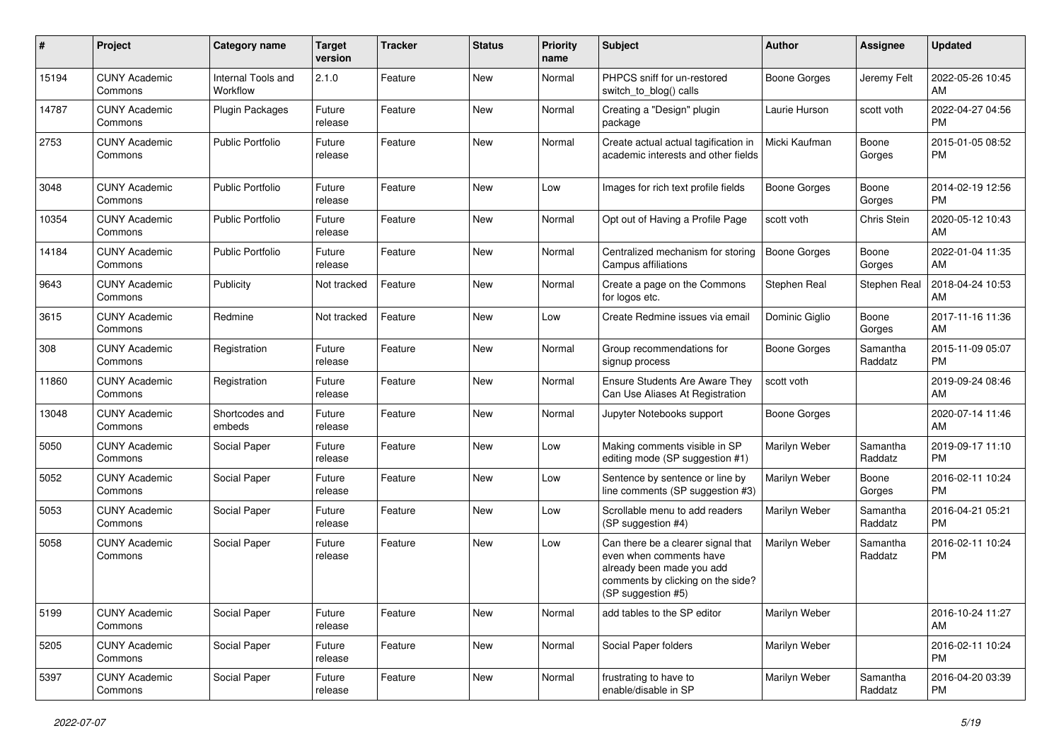| #     | Project                         | <b>Category name</b>           | <b>Target</b><br>version | <b>Tracker</b> | <b>Status</b> | <b>Priority</b><br>name | Subject                                                                                                                                               | Author              | <b>Assignee</b>     | <b>Updated</b>                |
|-------|---------------------------------|--------------------------------|--------------------------|----------------|---------------|-------------------------|-------------------------------------------------------------------------------------------------------------------------------------------------------|---------------------|---------------------|-------------------------------|
| 15194 | <b>CUNY Academic</b><br>Commons | Internal Tools and<br>Workflow | 2.1.0                    | Feature        | <b>New</b>    | Normal                  | PHPCS sniff for un-restored<br>switch to blog() calls                                                                                                 | Boone Gorges        | Jeremy Felt         | 2022-05-26 10:45<br>AM        |
| 14787 | <b>CUNY Academic</b><br>Commons | <b>Plugin Packages</b>         | Future<br>release        | Feature        | New           | Normal                  | Creating a "Design" plugin<br>package                                                                                                                 | Laurie Hurson       | scott voth          | 2022-04-27 04:56<br>PM        |
| 2753  | <b>CUNY Academic</b><br>Commons | <b>Public Portfolio</b>        | Future<br>release        | Feature        | New           | Normal                  | Create actual actual tagification in<br>academic interests and other fields                                                                           | Micki Kaufman       | Boone<br>Gorges     | 2015-01-05 08:52<br>PM        |
| 3048  | <b>CUNY Academic</b><br>Commons | <b>Public Portfolio</b>        | Future<br>release        | Feature        | New           | Low                     | Images for rich text profile fields                                                                                                                   | Boone Gorges        | Boone<br>Gorges     | 2014-02-19 12:56<br>PM        |
| 10354 | <b>CUNY Academic</b><br>Commons | <b>Public Portfolio</b>        | Future<br>release        | Feature        | New           | Normal                  | Opt out of Having a Profile Page                                                                                                                      | scott voth          | Chris Stein         | 2020-05-12 10:43<br>AM        |
| 14184 | <b>CUNY Academic</b><br>Commons | <b>Public Portfolio</b>        | Future<br>release        | Feature        | New           | Normal                  | Centralized mechanism for storing<br>Campus affiliations                                                                                              | Boone Gorges        | Boone<br>Gorges     | 2022-01-04 11:35<br>AM        |
| 9643  | <b>CUNY Academic</b><br>Commons | Publicity                      | Not tracked              | Feature        | New           | Normal                  | Create a page on the Commons<br>for logos etc.                                                                                                        | Stephen Real        | Stephen Real        | 2018-04-24 10:53<br>AM        |
| 3615  | <b>CUNY Academic</b><br>Commons | Redmine                        | Not tracked              | Feature        | New           | Low                     | Create Redmine issues via email                                                                                                                       | Dominic Giglio      | Boone<br>Gorges     | 2017-11-16 11:36<br>AM        |
| 308   | <b>CUNY Academic</b><br>Commons | Registration                   | Future<br>release        | Feature        | New           | Normal                  | Group recommendations for<br>signup process                                                                                                           | <b>Boone Gorges</b> | Samantha<br>Raddatz | 2015-11-09 05:07<br>PM        |
| 11860 | <b>CUNY Academic</b><br>Commons | Registration                   | Future<br>release        | Feature        | New           | Normal                  | <b>Ensure Students Are Aware They</b><br>Can Use Aliases At Registration                                                                              | scott voth          |                     | 2019-09-24 08:46<br>AM        |
| 13048 | <b>CUNY Academic</b><br>Commons | Shortcodes and<br>embeds       | Future<br>release        | Feature        | New           | Normal                  | Jupyter Notebooks support                                                                                                                             | Boone Gorges        |                     | 2020-07-14 11:46<br>AM        |
| 5050  | <b>CUNY Academic</b><br>Commons | Social Paper                   | Future<br>release        | Feature        | New           | Low                     | Making comments visible in SP<br>editing mode (SP suggestion #1)                                                                                      | Marilyn Weber       | Samantha<br>Raddatz | 2019-09-17 11:10<br>PM        |
| 5052  | <b>CUNY Academic</b><br>Commons | Social Paper                   | Future<br>release        | Feature        | New           | Low                     | Sentence by sentence or line by<br>line comments (SP suggestion #3)                                                                                   | Marilyn Weber       | Boone<br>Gorges     | 2016-02-11 10:24<br>PM        |
| 5053  | <b>CUNY Academic</b><br>Commons | Social Paper                   | Future<br>release        | Feature        | New           | Low                     | Scrollable menu to add readers<br>(SP suggestion #4)                                                                                                  | Marilyn Weber       | Samantha<br>Raddatz | 2016-04-21 05:21<br><b>PM</b> |
| 5058  | <b>CUNY Academic</b><br>Commons | Social Paper                   | Future<br>release        | Feature        | New           | Low                     | Can there be a clearer signal that<br>even when comments have<br>already been made you add<br>comments by clicking on the side?<br>(SP suggestion #5) | Marilyn Weber       | Samantha<br>Raddatz | 2016-02-11 10:24<br>PM        |
| 5199  | <b>CUNY Academic</b><br>Commons | Social Paper                   | Future<br>release        | Feature        | New           | Normal                  | add tables to the SP editor                                                                                                                           | Marilyn Weber       |                     | 2016-10-24 11:27<br>AM        |
| 5205  | <b>CUNY Academic</b><br>Commons | Social Paper                   | Future<br>release        | Feature        | New           | Normal                  | Social Paper folders                                                                                                                                  | Marilyn Weber       |                     | 2016-02-11 10:24<br><b>PM</b> |
| 5397  | <b>CUNY Academic</b><br>Commons | Social Paper                   | Future<br>release        | Feature        | New           | Normal                  | frustrating to have to<br>enable/disable in SP                                                                                                        | Marilyn Weber       | Samantha<br>Raddatz | 2016-04-20 03:39<br>PM        |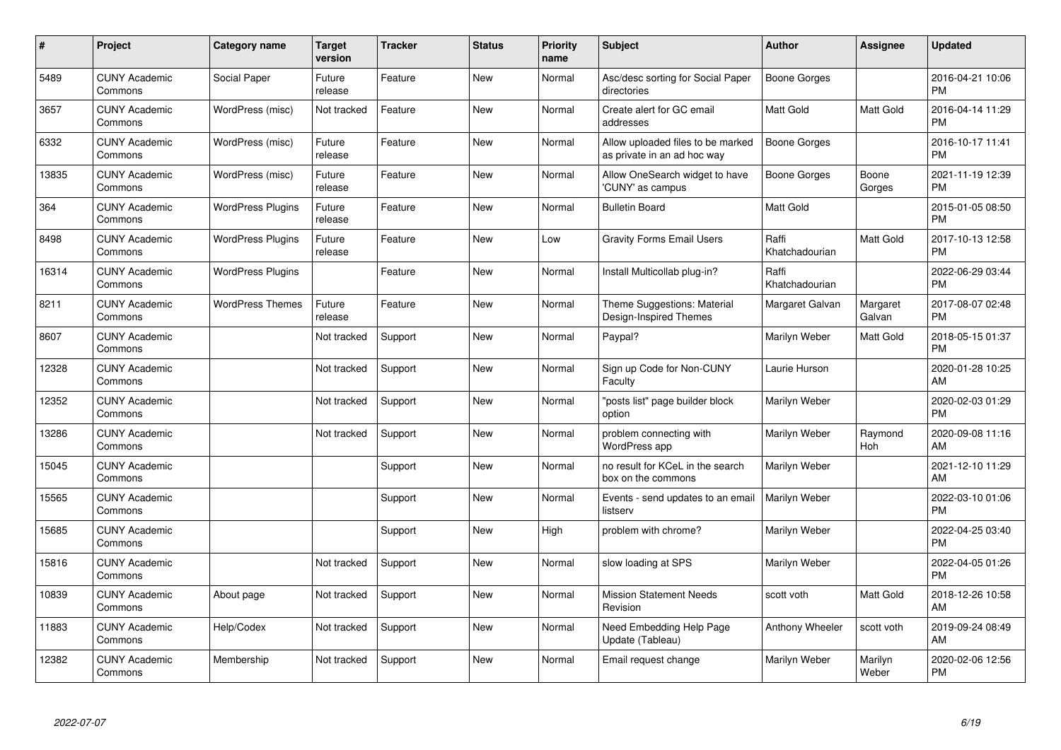| $\pmb{\#}$ | Project                         | Category name            | <b>Target</b><br>version | <b>Tracker</b> | <b>Status</b> | <b>Priority</b><br>name | <b>Subject</b>                                                   | <b>Author</b>           | <b>Assignee</b>    | <b>Updated</b>                |
|------------|---------------------------------|--------------------------|--------------------------|----------------|---------------|-------------------------|------------------------------------------------------------------|-------------------------|--------------------|-------------------------------|
| 5489       | <b>CUNY Academic</b><br>Commons | Social Paper             | Future<br>release        | Feature        | <b>New</b>    | Normal                  | Asc/desc sorting for Social Paper<br>directories                 | <b>Boone Gorges</b>     |                    | 2016-04-21 10:06<br><b>PM</b> |
| 3657       | <b>CUNY Academic</b><br>Commons | WordPress (misc)         | Not tracked              | Feature        | <b>New</b>    | Normal                  | Create alert for GC email<br>addresses                           | <b>Matt Gold</b>        | Matt Gold          | 2016-04-14 11:29<br><b>PM</b> |
| 6332       | <b>CUNY Academic</b><br>Commons | WordPress (misc)         | Future<br>release        | Feature        | New           | Normal                  | Allow uploaded files to be marked<br>as private in an ad hoc way | <b>Boone Gorges</b>     |                    | 2016-10-17 11:41<br><b>PM</b> |
| 13835      | <b>CUNY Academic</b><br>Commons | WordPress (misc)         | Future<br>release        | Feature        | <b>New</b>    | Normal                  | Allow OneSearch widget to have<br>'CUNY' as campus               | Boone Gorges            | Boone<br>Gorges    | 2021-11-19 12:39<br><b>PM</b> |
| 364        | <b>CUNY Academic</b><br>Commons | <b>WordPress Plugins</b> | Future<br>release        | Feature        | <b>New</b>    | Normal                  | <b>Bulletin Board</b>                                            | Matt Gold               |                    | 2015-01-05 08:50<br><b>PM</b> |
| 8498       | <b>CUNY Academic</b><br>Commons | <b>WordPress Plugins</b> | Future<br>release        | Feature        | <b>New</b>    | Low                     | <b>Gravity Forms Email Users</b>                                 | Raffi<br>Khatchadourian | Matt Gold          | 2017-10-13 12:58<br><b>PM</b> |
| 16314      | <b>CUNY Academic</b><br>Commons | <b>WordPress Plugins</b> |                          | Feature        | New           | Normal                  | Install Multicollab plug-in?                                     | Raffi<br>Khatchadourian |                    | 2022-06-29 03:44<br><b>PM</b> |
| 8211       | <b>CUNY Academic</b><br>Commons | <b>WordPress Themes</b>  | Future<br>release        | Feature        | New           | Normal                  | Theme Suggestions: Material<br>Design-Inspired Themes            | Margaret Galvan         | Margaret<br>Galvan | 2017-08-07 02:48<br><b>PM</b> |
| 8607       | <b>CUNY Academic</b><br>Commons |                          | Not tracked              | Support        | New           | Normal                  | Paypal?                                                          | Marilyn Weber           | Matt Gold          | 2018-05-15 01:37<br><b>PM</b> |
| 12328      | <b>CUNY Academic</b><br>Commons |                          | Not tracked              | Support        | New           | Normal                  | Sign up Code for Non-CUNY<br>Faculty                             | Laurie Hurson           |                    | 2020-01-28 10:25<br>AM        |
| 12352      | <b>CUNY Academic</b><br>Commons |                          | Not tracked              | Support        | New           | Normal                  | 'posts list" page builder block<br>option                        | Marilyn Weber           |                    | 2020-02-03 01:29<br><b>PM</b> |
| 13286      | <b>CUNY Academic</b><br>Commons |                          | Not tracked              | Support        | New           | Normal                  | problem connecting with<br>WordPress app                         | Marilyn Weber           | Raymond<br>Hoh     | 2020-09-08 11:16<br>AM        |
| 15045      | <b>CUNY Academic</b><br>Commons |                          |                          | Support        | New           | Normal                  | no result for KCeL in the search<br>box on the commons           | Marilyn Weber           |                    | 2021-12-10 11:29<br>AM        |
| 15565      | <b>CUNY Academic</b><br>Commons |                          |                          | Support        | New           | Normal                  | Events - send updates to an email<br>listserv                    | Marilyn Weber           |                    | 2022-03-10 01:06<br><b>PM</b> |
| 15685      | <b>CUNY Academic</b><br>Commons |                          |                          | Support        | New           | High                    | problem with chrome?                                             | Marilyn Weber           |                    | 2022-04-25 03:40<br><b>PM</b> |
| 15816      | <b>CUNY Academic</b><br>Commons |                          | Not tracked              | Support        | <b>New</b>    | Normal                  | slow loading at SPS                                              | Marilyn Weber           |                    | 2022-04-05 01:26<br><b>PM</b> |
| 10839      | <b>CUNY Academic</b><br>Commons | About page               | Not tracked              | Support        | New           | Normal                  | <b>Mission Statement Needs</b><br>Revision                       | scott voth              | Matt Gold          | 2018-12-26 10:58<br>AM        |
| 11883      | <b>CUNY Academic</b><br>Commons | Help/Codex               | Not tracked              | Support        | New           | Normal                  | Need Embedding Help Page<br>Update (Tableau)                     | Anthony Wheeler         | scott voth         | 2019-09-24 08:49<br>AM        |
| 12382      | <b>CUNY Academic</b><br>Commons | Membership               | Not tracked              | Support        | <b>New</b>    | Normal                  | Email request change                                             | Marilyn Weber           | Marilyn<br>Weber   | 2020-02-06 12:56<br><b>PM</b> |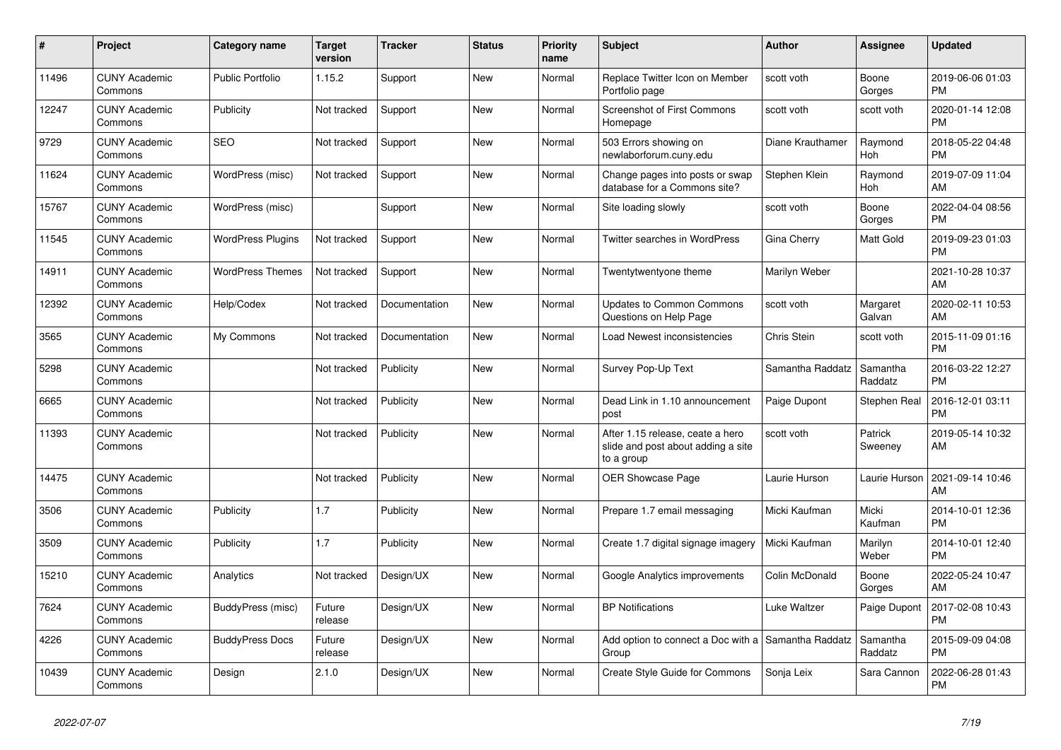| $\pmb{\sharp}$ | Project                         | Category name            | <b>Target</b><br>version | <b>Tracker</b> | <b>Status</b> | <b>Priority</b><br>name | <b>Subject</b>                                                                       | Author           | Assignee            | <b>Updated</b>                |
|----------------|---------------------------------|--------------------------|--------------------------|----------------|---------------|-------------------------|--------------------------------------------------------------------------------------|------------------|---------------------|-------------------------------|
| 11496          | <b>CUNY Academic</b><br>Commons | <b>Public Portfolio</b>  | 1.15.2                   | Support        | <b>New</b>    | Normal                  | Replace Twitter Icon on Member<br>Portfolio page                                     | scott voth       | Boone<br>Gorges     | 2019-06-06 01:03<br><b>PM</b> |
| 12247          | <b>CUNY Academic</b><br>Commons | Publicity                | Not tracked              | Support        | New           | Normal                  | <b>Screenshot of First Commons</b><br>Homepage                                       | scott voth       | scott voth          | 2020-01-14 12:08<br><b>PM</b> |
| 9729           | <b>CUNY Academic</b><br>Commons | <b>SEO</b>               | Not tracked              | Support        | New           | Normal                  | 503 Errors showing on<br>newlaborforum.cuny.edu                                      | Diane Krauthamer | Raymond<br>Hoh      | 2018-05-22 04:48<br><b>PM</b> |
| 11624          | <b>CUNY Academic</b><br>Commons | WordPress (misc)         | Not tracked              | Support        | <b>New</b>    | Normal                  | Change pages into posts or swap<br>database for a Commons site?                      | Stephen Klein    | Raymond<br>Hoh      | 2019-07-09 11:04<br>AM        |
| 15767          | <b>CUNY Academic</b><br>Commons | WordPress (misc)         |                          | Support        | New           | Normal                  | Site loading slowly                                                                  | scott voth       | Boone<br>Gorges     | 2022-04-04 08:56<br><b>PM</b> |
| 11545          | <b>CUNY Academic</b><br>Commons | <b>WordPress Plugins</b> | Not tracked              | Support        | New           | Normal                  | Twitter searches in WordPress                                                        | Gina Cherry      | Matt Gold           | 2019-09-23 01:03<br><b>PM</b> |
| 14911          | <b>CUNY Academic</b><br>Commons | <b>WordPress Themes</b>  | Not tracked              | Support        | <b>New</b>    | Normal                  | Twentytwentyone theme                                                                | Marilyn Weber    |                     | 2021-10-28 10:37<br>AM        |
| 12392          | <b>CUNY Academic</b><br>Commons | Help/Codex               | Not tracked              | Documentation  | New           | Normal                  | Updates to Common Commons<br>Questions on Help Page                                  | scott voth       | Margaret<br>Galvan  | 2020-02-11 10:53<br>AM        |
| 3565           | <b>CUNY Academic</b><br>Commons | My Commons               | Not tracked              | Documentation  | New           | Normal                  | Load Newest inconsistencies                                                          | Chris Stein      | scott voth          | 2015-11-09 01:16<br><b>PM</b> |
| 5298           | <b>CUNY Academic</b><br>Commons |                          | Not tracked              | Publicity      | <b>New</b>    | Normal                  | Survey Pop-Up Text                                                                   | Samantha Raddatz | Samantha<br>Raddatz | 2016-03-22 12:27<br><b>PM</b> |
| 6665           | <b>CUNY Academic</b><br>Commons |                          | Not tracked              | Publicity      | New           | Normal                  | Dead Link in 1.10 announcement<br>post                                               | Paige Dupont     | Stephen Real        | 2016-12-01 03:11<br><b>PM</b> |
| 11393          | <b>CUNY Academic</b><br>Commons |                          | Not tracked              | Publicity      | New           | Normal                  | After 1.15 release, ceate a hero<br>slide and post about adding a site<br>to a group | scott voth       | Patrick<br>Sweeney  | 2019-05-14 10:32<br>AM        |
| 14475          | <b>CUNY Academic</b><br>Commons |                          | Not tracked              | Publicity      | <b>New</b>    | Normal                  | OER Showcase Page                                                                    | Laurie Hurson    | Laurie Hurson       | 2021-09-14 10:46<br>AM        |
| 3506           | <b>CUNY Academic</b><br>Commons | Publicity                | 1.7                      | Publicity      | New           | Normal                  | Prepare 1.7 email messaging                                                          | Micki Kaufman    | Micki<br>Kaufman    | 2014-10-01 12:36<br><b>PM</b> |
| 3509           | <b>CUNY Academic</b><br>Commons | Publicity                | 1.7                      | Publicity      | <b>New</b>    | Normal                  | Create 1.7 digital signage imagery                                                   | Micki Kaufman    | Marilyn<br>Weber    | 2014-10-01 12:40<br><b>PM</b> |
| 15210          | <b>CUNY Academic</b><br>Commons | Analytics                | Not tracked              | Design/UX      | New           | Normal                  | Google Analytics improvements                                                        | Colin McDonald   | Boone<br>Gorges     | 2022-05-24 10:47<br>AM        |
| 7624           | <b>CUNY Academic</b><br>Commons | BuddyPress (misc)        | Future<br>release        | Design/UX      | New           | Normal                  | <b>BP Notifications</b>                                                              | Luke Waltzer     | Paige Dupont        | 2017-02-08 10:43<br><b>PM</b> |
| 4226           | <b>CUNY Academic</b><br>Commons | <b>BuddyPress Docs</b>   | Future<br>release        | Design/UX      | New           | Normal                  | Add option to connect a Doc with a Samantha Raddatz<br>Group                         |                  | Samantha<br>Raddatz | 2015-09-09 04:08<br><b>PM</b> |
| 10439          | <b>CUNY Academic</b><br>Commons | Design                   | 2.1.0                    | Design/UX      | <b>New</b>    | Normal                  | Create Style Guide for Commons                                                       | Sonja Leix       | Sara Cannon         | 2022-06-28 01:43<br><b>PM</b> |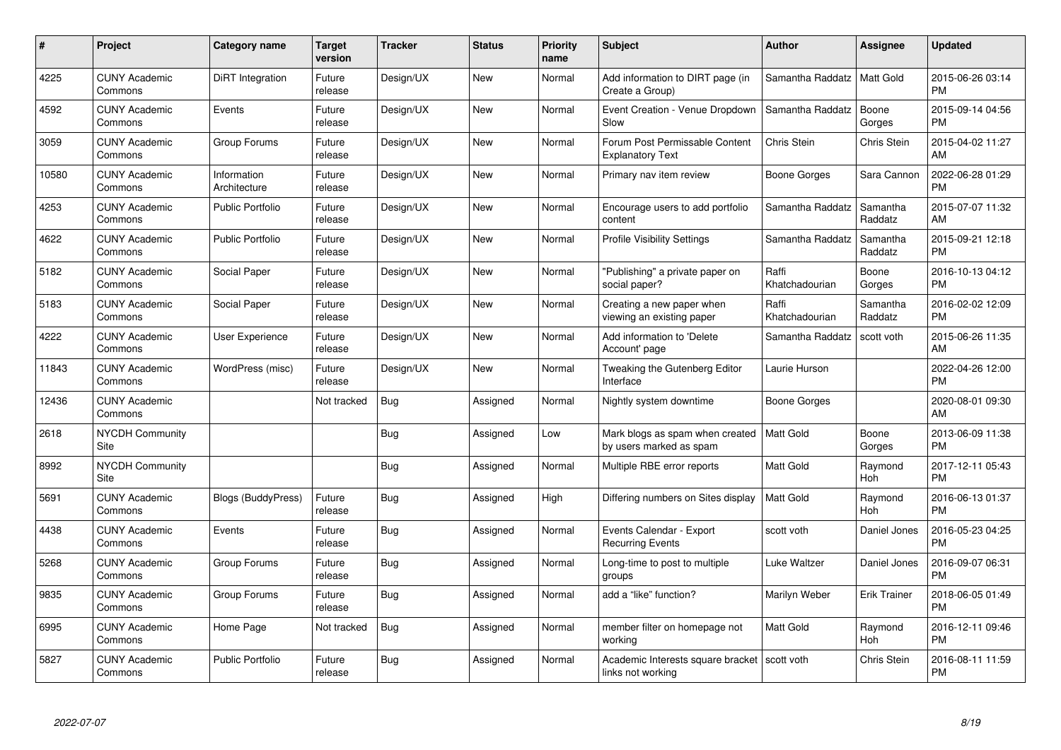| #     | <b>Project</b>                  | <b>Category name</b>        | <b>Target</b><br>version | <b>Tracker</b> | <b>Status</b> | <b>Priority</b><br>name | <b>Subject</b>                                             | <b>Author</b>           | Assignee            | <b>Updated</b>                |
|-------|---------------------------------|-----------------------------|--------------------------|----------------|---------------|-------------------------|------------------------------------------------------------|-------------------------|---------------------|-------------------------------|
| 4225  | <b>CUNY Academic</b><br>Commons | <b>DiRT</b> Integration     | Future<br>release        | Design/UX      | <b>New</b>    | Normal                  | Add information to DIRT page (in<br>Create a Group)        | Samantha Raddatz        | Matt Gold           | 2015-06-26 03:14<br><b>PM</b> |
| 4592  | <b>CUNY Academic</b><br>Commons | Events                      | Future<br>release        | Design/UX      | <b>New</b>    | Normal                  | Event Creation - Venue Dropdown<br>Slow                    | Samantha Raddatz        | Boone<br>Gorges     | 2015-09-14 04:56<br><b>PM</b> |
| 3059  | <b>CUNY Academic</b><br>Commons | Group Forums                | Future<br>release        | Design/UX      | <b>New</b>    | Normal                  | Forum Post Permissable Content<br><b>Explanatory Text</b>  | Chris Stein             | Chris Stein         | 2015-04-02 11:27<br>AM        |
| 10580 | <b>CUNY Academic</b><br>Commons | Information<br>Architecture | Future<br>release        | Design/UX      | New           | Normal                  | Primary nav item review                                    | Boone Gorges            | Sara Cannon         | 2022-06-28 01:29<br><b>PM</b> |
| 4253  | <b>CUNY Academic</b><br>Commons | <b>Public Portfolio</b>     | Future<br>release        | Design/UX      | <b>New</b>    | Normal                  | Encourage users to add portfolio<br>content                | Samantha Raddatz        | Samantha<br>Raddatz | 2015-07-07 11:32<br>AM        |
| 4622  | <b>CUNY Academic</b><br>Commons | <b>Public Portfolio</b>     | Future<br>release        | Design/UX      | <b>New</b>    | Normal                  | <b>Profile Visibility Settings</b>                         | Samantha Raddatz        | Samantha<br>Raddatz | 2015-09-21 12:18<br><b>PM</b> |
| 5182  | <b>CUNY Academic</b><br>Commons | Social Paper                | Future<br>release        | Design/UX      | New           | Normal                  | "Publishing" a private paper on<br>social paper?           | Raffi<br>Khatchadourian | Boone<br>Gorges     | 2016-10-13 04:12<br><b>PM</b> |
| 5183  | <b>CUNY Academic</b><br>Commons | Social Paper                | Future<br>release        | Design/UX      | <b>New</b>    | Normal                  | Creating a new paper when<br>viewing an existing paper     | Raffi<br>Khatchadourian | Samantha<br>Raddatz | 2016-02-02 12:09<br><b>PM</b> |
| 4222  | <b>CUNY Academic</b><br>Commons | User Experience             | Future<br>release        | Design/UX      | <b>New</b>    | Normal                  | Add information to 'Delete<br>Account' page                | Samantha Raddatz        | scott voth          | 2015-06-26 11:35<br>AM        |
| 11843 | <b>CUNY Academic</b><br>Commons | WordPress (misc)            | Future<br>release        | Design/UX      | <b>New</b>    | Normal                  | Tweaking the Gutenberg Editor<br>Interface                 | Laurie Hurson           |                     | 2022-04-26 12:00<br><b>PM</b> |
| 12436 | <b>CUNY Academic</b><br>Commons |                             | Not tracked              | Bug            | Assigned      | Normal                  | Nightly system downtime                                    | Boone Gorges            |                     | 2020-08-01 09:30<br>AM        |
| 2618  | <b>NYCDH Community</b><br>Site  |                             |                          | Bug            | Assigned      | Low                     | Mark blogs as spam when created<br>by users marked as spam | <b>Matt Gold</b>        | Boone<br>Gorges     | 2013-06-09 11:38<br><b>PM</b> |
| 8992  | <b>NYCDH Community</b><br>Site  |                             |                          | Bug            | Assigned      | Normal                  | Multiple RBE error reports                                 | Matt Gold               | Raymond<br>Hoh      | 2017-12-11 05:43<br><b>PM</b> |
| 5691  | <b>CUNY Academic</b><br>Commons | <b>Blogs (BuddyPress)</b>   | Future<br>release        | Bug            | Assigned      | High                    | Differing numbers on Sites display                         | <b>Matt Gold</b>        | Raymond<br>Hoh      | 2016-06-13 01:37<br><b>PM</b> |
| 4438  | <b>CUNY Academic</b><br>Commons | Events                      | Future<br>release        | Bug            | Assigned      | Normal                  | Events Calendar - Export<br><b>Recurring Events</b>        | scott voth              | Daniel Jones        | 2016-05-23 04:25<br><b>PM</b> |
| 5268  | <b>CUNY Academic</b><br>Commons | Group Forums                | Future<br>release        | Bug            | Assigned      | Normal                  | Long-time to post to multiple<br>groups                    | Luke Waltzer            | Daniel Jones        | 2016-09-07 06:31<br><b>PM</b> |
| 9835  | <b>CUNY Academic</b><br>Commons | Group Forums                | Future<br>release        | Bug            | Assigned      | Normal                  | add a "like" function?                                     | Marilyn Weber           | <b>Erik Trainer</b> | 2018-06-05 01:49<br><b>PM</b> |
| 6995  | <b>CUNY Academic</b><br>Commons | Home Page                   | Not tracked              | <b>Bug</b>     | Assigned      | Normal                  | member filter on homepage not<br>working                   | Matt Gold               | Raymond<br>Hoh      | 2016-12-11 09:46<br><b>PM</b> |
| 5827  | <b>CUNY Academic</b><br>Commons | <b>Public Portfolio</b>     | Future<br>release        | Bug            | Assigned      | Normal                  | Academic Interests square bracket<br>links not working     | scott voth              | <b>Chris Stein</b>  | 2016-08-11 11:59<br><b>PM</b> |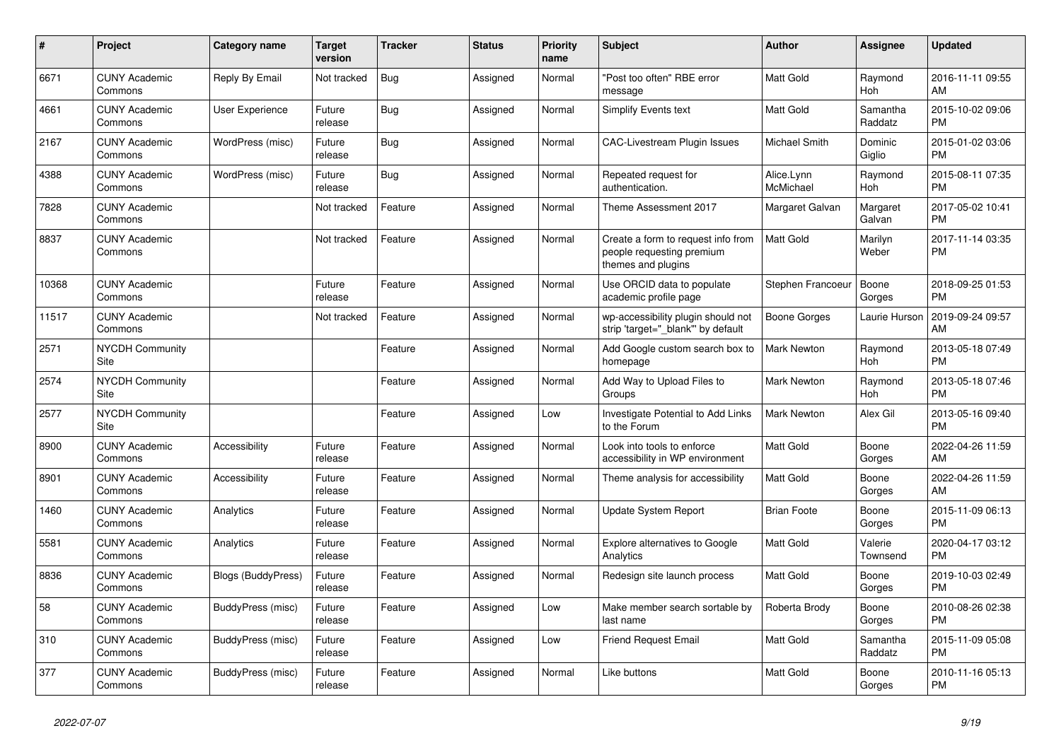| #     | <b>Project</b>                  | <b>Category name</b>      | <b>Target</b><br>version | <b>Tracker</b> | <b>Status</b> | <b>Priority</b><br>name | <b>Subject</b>                                                                        | Author                  | Assignee            | <b>Updated</b>                |
|-------|---------------------------------|---------------------------|--------------------------|----------------|---------------|-------------------------|---------------------------------------------------------------------------------------|-------------------------|---------------------|-------------------------------|
| 6671  | <b>CUNY Academic</b><br>Commons | Reply By Email            | Not tracked              | <b>Bug</b>     | Assigned      | Normal                  | "Post too often" RBE error<br>message                                                 | <b>Matt Gold</b>        | Raymond<br>Hoh      | 2016-11-11 09:55<br>AM        |
| 4661  | <b>CUNY Academic</b><br>Commons | User Experience           | Future<br>release        | Bug            | Assigned      | Normal                  | <b>Simplify Events text</b>                                                           | <b>Matt Gold</b>        | Samantha<br>Raddatz | 2015-10-02 09:06<br><b>PM</b> |
| 2167  | <b>CUNY Academic</b><br>Commons | WordPress (misc)          | Future<br>release        | Bug            | Assigned      | Normal                  | CAC-Livestream Plugin Issues                                                          | Michael Smith           | Dominic<br>Giglio   | 2015-01-02 03:06<br><b>PM</b> |
| 4388  | <b>CUNY Academic</b><br>Commons | WordPress (misc)          | Future<br>release        | Bug            | Assigned      | Normal                  | Repeated request for<br>authentication.                                               | Alice.Lynn<br>McMichael | Raymond<br>Hoh      | 2015-08-11 07:35<br><b>PM</b> |
| 7828  | <b>CUNY Academic</b><br>Commons |                           | Not tracked              | Feature        | Assigned      | Normal                  | Theme Assessment 2017                                                                 | Margaret Galvan         | Margaret<br>Galvan  | 2017-05-02 10:41<br><b>PM</b> |
| 8837  | <b>CUNY Academic</b><br>Commons |                           | Not tracked              | Feature        | Assigned      | Normal                  | Create a form to request info from<br>people requesting premium<br>themes and plugins | <b>Matt Gold</b>        | Marilyn<br>Weber    | 2017-11-14 03:35<br><b>PM</b> |
| 10368 | <b>CUNY Academic</b><br>Commons |                           | Future<br>release        | Feature        | Assigned      | Normal                  | Use ORCID data to populate<br>academic profile page                                   | Stephen Francoeur       | Boone<br>Gorges     | 2018-09-25 01:53<br><b>PM</b> |
| 11517 | <b>CUNY Academic</b><br>Commons |                           | Not tracked              | Feature        | Assigned      | Normal                  | wp-accessibility plugin should not<br>strip 'target="_blank"' by default              | Boone Gorges            | Laurie Hurson       | 2019-09-24 09:57<br>AM        |
| 2571  | <b>NYCDH Community</b><br>Site  |                           |                          | Feature        | Assigned      | Normal                  | Add Google custom search box to<br>homepage                                           | <b>Mark Newton</b>      | Raymond<br>Hoh      | 2013-05-18 07:49<br><b>PM</b> |
| 2574  | <b>NYCDH Community</b><br>Site  |                           |                          | Feature        | Assigned      | Normal                  | Add Way to Upload Files to<br>Groups                                                  | <b>Mark Newton</b>      | Raymond<br>Hoh      | 2013-05-18 07:46<br><b>PM</b> |
| 2577  | <b>NYCDH Community</b><br>Site  |                           |                          | Feature        | Assigned      | Low                     | Investigate Potential to Add Links<br>to the Forum                                    | <b>Mark Newton</b>      | Alex Gil            | 2013-05-16 09:40<br><b>PM</b> |
| 8900  | <b>CUNY Academic</b><br>Commons | Accessibility             | Future<br>release        | Feature        | Assigned      | Normal                  | Look into tools to enforce<br>accessibility in WP environment                         | <b>Matt Gold</b>        | Boone<br>Gorges     | 2022-04-26 11:59<br>AM        |
| 8901  | <b>CUNY Academic</b><br>Commons | Accessibility             | Future<br>release        | Feature        | Assigned      | Normal                  | Theme analysis for accessibility                                                      | <b>Matt Gold</b>        | Boone<br>Gorges     | 2022-04-26 11:59<br>AM        |
| 1460  | <b>CUNY Academic</b><br>Commons | Analytics                 | Future<br>release        | Feature        | Assigned      | Normal                  | <b>Update System Report</b>                                                           | <b>Brian Foote</b>      | Boone<br>Gorges     | 2015-11-09 06:13<br><b>PM</b> |
| 5581  | <b>CUNY Academic</b><br>Commons | Analytics                 | Future<br>release        | Feature        | Assigned      | Normal                  | Explore alternatives to Google<br>Analytics                                           | <b>Matt Gold</b>        | Valerie<br>Townsend | 2020-04-17 03:12<br><b>PM</b> |
| 8836  | <b>CUNY Academic</b><br>Commons | <b>Blogs (BuddyPress)</b> | Future<br>release        | Feature        | Assigned      | Normal                  | Redesign site launch process                                                          | <b>Matt Gold</b>        | Boone<br>Gorges     | 2019-10-03 02:49<br><b>PM</b> |
| 58    | <b>CUNY Academic</b><br>Commons | BuddyPress (misc)         | Future<br>release        | Feature        | Assigned      | Low                     | Make member search sortable by<br>last name                                           | Roberta Brody           | Boone<br>Gorges     | 2010-08-26 02:38<br><b>PM</b> |
| 310   | <b>CUNY Academic</b><br>Commons | BuddyPress (misc)         | Future<br>release        | Feature        | Assigned      | Low                     | <b>Friend Request Email</b>                                                           | <b>Matt Gold</b>        | Samantha<br>Raddatz | 2015-11-09 05:08<br><b>PM</b> |
| 377   | <b>CUNY Academic</b><br>Commons | BuddyPress (misc)         | Future<br>release        | Feature        | Assigned      | Normal                  | Like buttons                                                                          | <b>Matt Gold</b>        | Boone<br>Gorges     | 2010-11-16 05:13<br><b>PM</b> |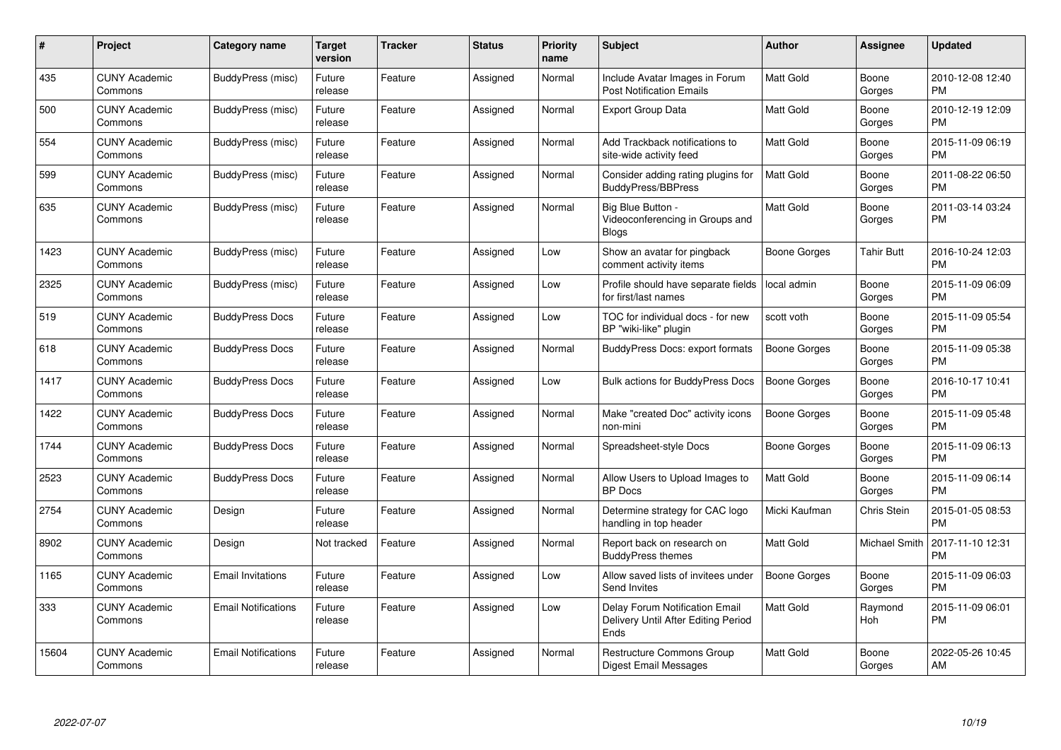| #     | Project                         | <b>Category name</b>       | Target<br>version | <b>Tracker</b> | <b>Status</b> | <b>Priority</b><br>name | <b>Subject</b>                                                                | <b>Author</b>       | <b>Assignee</b> | <b>Updated</b>                |
|-------|---------------------------------|----------------------------|-------------------|----------------|---------------|-------------------------|-------------------------------------------------------------------------------|---------------------|-----------------|-------------------------------|
| 435   | <b>CUNY Academic</b><br>Commons | BuddyPress (misc)          | Future<br>release | Feature        | Assigned      | Normal                  | Include Avatar Images in Forum<br><b>Post Notification Emails</b>             | <b>Matt Gold</b>    | Boone<br>Gorges | 2010-12-08 12:40<br><b>PM</b> |
| 500   | <b>CUNY Academic</b><br>Commons | BuddyPress (misc)          | Future<br>release | Feature        | Assigned      | Normal                  | <b>Export Group Data</b>                                                      | Matt Gold           | Boone<br>Gorges | 2010-12-19 12:09<br><b>PM</b> |
| 554   | <b>CUNY Academic</b><br>Commons | BuddyPress (misc)          | Future<br>release | Feature        | Assigned      | Normal                  | Add Trackback notifications to<br>site-wide activity feed                     | <b>Matt Gold</b>    | Boone<br>Gorges | 2015-11-09 06:19<br><b>PM</b> |
| 599   | <b>CUNY Academic</b><br>Commons | BuddyPress (misc)          | Future<br>release | Feature        | Assigned      | Normal                  | Consider adding rating plugins for<br>BuddyPress/BBPress                      | <b>Matt Gold</b>    | Boone<br>Gorges | 2011-08-22 06:50<br><b>PM</b> |
| 635   | <b>CUNY Academic</b><br>Commons | BuddyPress (misc)          | Future<br>release | Feature        | Assigned      | Normal                  | Big Blue Button -<br>Videoconferencing in Groups and<br><b>Blogs</b>          | Matt Gold           | Boone<br>Gorges | 2011-03-14 03:24<br><b>PM</b> |
| 1423  | <b>CUNY Academic</b><br>Commons | BuddyPress (misc)          | Future<br>release | Feature        | Assigned      | Low                     | Show an avatar for pingback<br>comment activity items                         | <b>Boone Gorges</b> | Tahir Butt      | 2016-10-24 12:03<br><b>PM</b> |
| 2325  | <b>CUNY Academic</b><br>Commons | BuddyPress (misc)          | Future<br>release | Feature        | Assigned      | Low                     | Profile should have separate fields<br>for first/last names                   | local admin         | Boone<br>Gorges | 2015-11-09 06:09<br><b>PM</b> |
| 519   | <b>CUNY Academic</b><br>Commons | <b>BuddyPress Docs</b>     | Future<br>release | Feature        | Assigned      | Low                     | TOC for individual docs - for new<br>BP "wiki-like" plugin                    | scott voth          | Boone<br>Gorges | 2015-11-09 05:54<br><b>PM</b> |
| 618   | <b>CUNY Academic</b><br>Commons | <b>BuddyPress Docs</b>     | Future<br>release | Feature        | Assigned      | Normal                  | <b>BuddyPress Docs: export formats</b>                                        | <b>Boone Gorges</b> | Boone<br>Gorges | 2015-11-09 05:38<br><b>PM</b> |
| 1417  | <b>CUNY Academic</b><br>Commons | <b>BuddyPress Docs</b>     | Future<br>release | Feature        | Assigned      | Low                     | Bulk actions for BuddyPress Docs                                              | <b>Boone Gorges</b> | Boone<br>Gorges | 2016-10-17 10:41<br><b>PM</b> |
| 1422  | <b>CUNY Academic</b><br>Commons | <b>BuddyPress Docs</b>     | Future<br>release | Feature        | Assigned      | Normal                  | Make "created Doc" activity icons<br>non-mini                                 | Boone Gorges        | Boone<br>Gorges | 2015-11-09 05:48<br><b>PM</b> |
| 1744  | <b>CUNY Academic</b><br>Commons | <b>BuddyPress Docs</b>     | Future<br>release | Feature        | Assigned      | Normal                  | Spreadsheet-style Docs                                                        | Boone Gorges        | Boone<br>Gorges | 2015-11-09 06:13<br><b>PM</b> |
| 2523  | <b>CUNY Academic</b><br>Commons | <b>BuddyPress Docs</b>     | Future<br>release | Feature        | Assigned      | Normal                  | Allow Users to Upload Images to<br><b>BP</b> Docs                             | Matt Gold           | Boone<br>Gorges | 2015-11-09 06:14<br><b>PM</b> |
| 2754  | <b>CUNY Academic</b><br>Commons | Design                     | Future<br>release | Feature        | Assigned      | Normal                  | Determine strategy for CAC logo<br>handling in top header                     | Micki Kaufman       | Chris Stein     | 2015-01-05 08:53<br><b>PM</b> |
| 8902  | <b>CUNY Academic</b><br>Commons | Design                     | Not tracked       | Feature        | Assigned      | Normal                  | Report back on research on<br><b>BuddyPress themes</b>                        | Matt Gold           | Michael Smith   | 2017-11-10 12:31<br><b>PM</b> |
| 1165  | <b>CUNY Academic</b><br>Commons | <b>Email Invitations</b>   | Future<br>release | Feature        | Assigned      | Low                     | Allow saved lists of invitees under<br>Send Invites                           | <b>Boone Gorges</b> | Boone<br>Gorges | 2015-11-09 06:03<br><b>PM</b> |
| 333   | <b>CUNY Academic</b><br>Commons | <b>Email Notifications</b> | Future<br>release | Feature        | Assigned      | Low                     | Delay Forum Notification Email<br>Delivery Until After Editing Period<br>Ends | Matt Gold           | Raymond<br>Hoh  | 2015-11-09 06:01<br><b>PM</b> |
| 15604 | <b>CUNY Academic</b><br>Commons | <b>Email Notifications</b> | Future<br>release | Feature        | Assigned      | Normal                  | Restructure Commons Group<br><b>Digest Email Messages</b>                     | Matt Gold           | Boone<br>Gorges | 2022-05-26 10:45<br>AM        |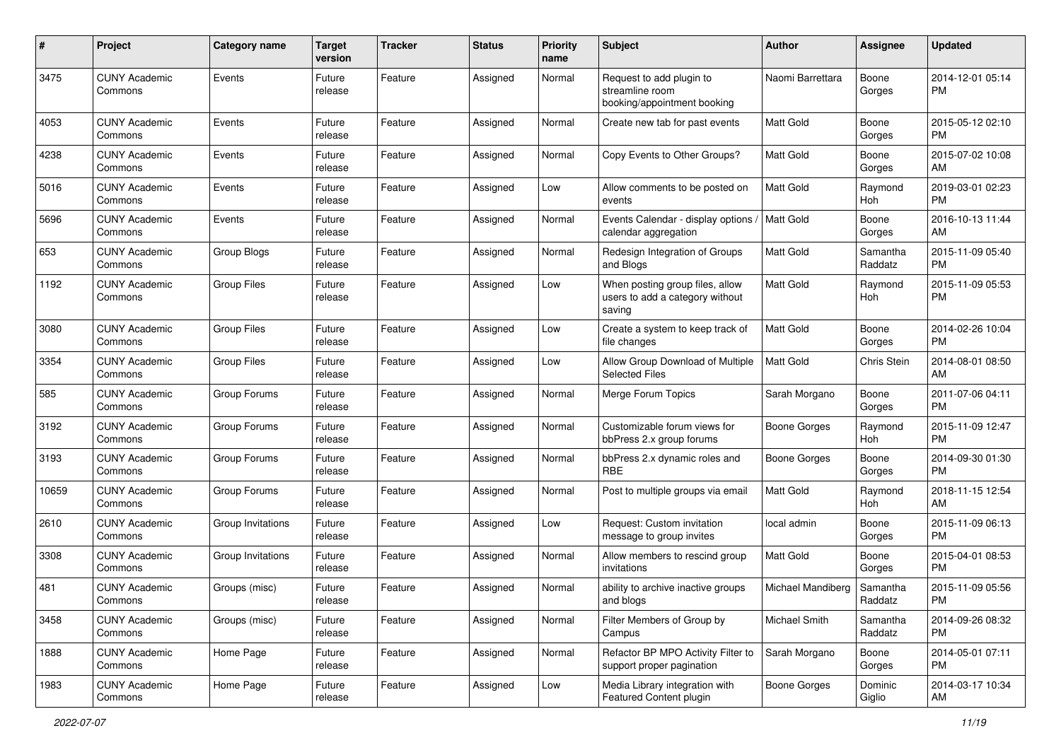| #     | Project                         | <b>Category name</b>     | <b>Target</b><br>version | <b>Tracker</b> | <b>Status</b> | Priority<br>name | Subject                                                                      | Author               | <b>Assignee</b>     | <b>Updated</b>                |
|-------|---------------------------------|--------------------------|--------------------------|----------------|---------------|------------------|------------------------------------------------------------------------------|----------------------|---------------------|-------------------------------|
| 3475  | <b>CUNY Academic</b><br>Commons | Events                   | Future<br>release        | Feature        | Assigned      | Normal           | Request to add plugin to<br>streamline room<br>booking/appointment booking   | Naomi Barrettara     | Boone<br>Gorges     | 2014-12-01 05:14<br>PM        |
| 4053  | <b>CUNY Academic</b><br>Commons | Events                   | Future<br>release        | Feature        | Assigned      | Normal           | Create new tab for past events                                               | <b>Matt Gold</b>     | Boone<br>Gorges     | 2015-05-12 02:10<br><b>PM</b> |
| 4238  | <b>CUNY Academic</b><br>Commons | Events                   | Future<br>release        | Feature        | Assigned      | Normal           | Copy Events to Other Groups?                                                 | Matt Gold            | Boone<br>Gorges     | 2015-07-02 10:08<br>AM        |
| 5016  | <b>CUNY Academic</b><br>Commons | Events                   | Future<br>release        | Feature        | Assigned      | Low              | Allow comments to be posted on<br>events                                     | <b>Matt Gold</b>     | Raymond<br>Hoh      | 2019-03-01 02:23<br><b>PM</b> |
| 5696  | <b>CUNY Academic</b><br>Commons | Events                   | Future<br>release        | Feature        | Assigned      | Normal           | Events Calendar - display options<br>calendar aggregation                    | Matt Gold            | Boone<br>Gorges     | 2016-10-13 11:44<br>AM        |
| 653   | <b>CUNY Academic</b><br>Commons | Group Blogs              | Future<br>release        | Feature        | Assigned      | Normal           | Redesign Integration of Groups<br>and Blogs                                  | <b>Matt Gold</b>     | Samantha<br>Raddatz | 2015-11-09 05:40<br><b>PM</b> |
| 1192  | <b>CUNY Academic</b><br>Commons | <b>Group Files</b>       | Future<br>release        | Feature        | Assigned      | Low              | When posting group files, allow<br>users to add a category without<br>saving | Matt Gold            | Raymond<br>Hoh      | 2015-11-09 05:53<br><b>PM</b> |
| 3080  | <b>CUNY Academic</b><br>Commons | <b>Group Files</b>       | Future<br>release        | Feature        | Assigned      | Low              | Create a system to keep track of<br>file changes                             | Matt Gold            | Boone<br>Gorges     | 2014-02-26 10:04<br><b>PM</b> |
| 3354  | <b>CUNY Academic</b><br>Commons | <b>Group Files</b>       | Future<br>release        | Feature        | Assigned      | Low              | Allow Group Download of Multiple<br><b>Selected Files</b>                    | <b>Matt Gold</b>     | Chris Stein         | 2014-08-01 08:50<br>AM        |
| 585   | <b>CUNY Academic</b><br>Commons | Group Forums             | Future<br>release        | Feature        | Assigned      | Normal           | Merge Forum Topics                                                           | Sarah Morgano        | Boone<br>Gorges     | 2011-07-06 04:11<br><b>PM</b> |
| 3192  | <b>CUNY Academic</b><br>Commons | Group Forums             | Future<br>release        | Feature        | Assigned      | Normal           | Customizable forum views for<br>bbPress 2.x group forums                     | Boone Gorges         | Raymond<br>Hoh      | 2015-11-09 12:47<br><b>PM</b> |
| 3193  | <b>CUNY Academic</b><br>Commons | Group Forums             | Future<br>release        | Feature        | Assigned      | Normal           | bbPress 2.x dynamic roles and<br>RBE                                         | Boone Gorges         | Boone<br>Gorges     | 2014-09-30 01:30<br><b>PM</b> |
| 10659 | <b>CUNY Academic</b><br>Commons | Group Forums             | Future<br>release        | Feature        | Assigned      | Normal           | Post to multiple groups via email                                            | <b>Matt Gold</b>     | Raymond<br>Hoh      | 2018-11-15 12:54<br>AM        |
| 2610  | <b>CUNY Academic</b><br>Commons | Group Invitations        | Future<br>release        | Feature        | Assigned      | Low              | Request: Custom invitation<br>message to group invites                       | local admin          | Boone<br>Gorges     | 2015-11-09 06:13<br><b>PM</b> |
| 3308  | <b>CUNY Academic</b><br>Commons | <b>Group Invitations</b> | Future<br>release        | Feature        | Assigned      | Normal           | Allow members to rescind group<br>invitations                                | <b>Matt Gold</b>     | Boone<br>Gorges     | 2015-04-01 08:53<br><b>PM</b> |
| 481   | <b>CUNY Academic</b><br>Commons | Groups (misc)            | Future<br>release        | Feature        | Assigned      | Normal           | ability to archive inactive groups<br>and blogs                              | Michael Mandiberg    | Samantha<br>Raddatz | 2015-11-09 05:56<br>PM        |
| 3458  | <b>CUNY Academic</b><br>Commons | Groups (misc)            | Future<br>release        | Feature        | Assigned      | Normal           | Filter Members of Group by<br>Campus                                         | <b>Michael Smith</b> | Samantha<br>Raddatz | 2014-09-26 08:32<br>PM        |
| 1888  | <b>CUNY Academic</b><br>Commons | Home Page                | Future<br>release        | Feature        | Assigned      | Normal           | Refactor BP MPO Activity Filter to<br>support proper pagination              | Sarah Morgano        | Boone<br>Gorges     | 2014-05-01 07:11<br><b>PM</b> |
| 1983  | <b>CUNY Academic</b><br>Commons | Home Page                | Future<br>release        | Feature        | Assigned      | Low              | Media Library integration with<br>Featured Content plugin                    | Boone Gorges         | Dominic<br>Giglio   | 2014-03-17 10:34<br>AM        |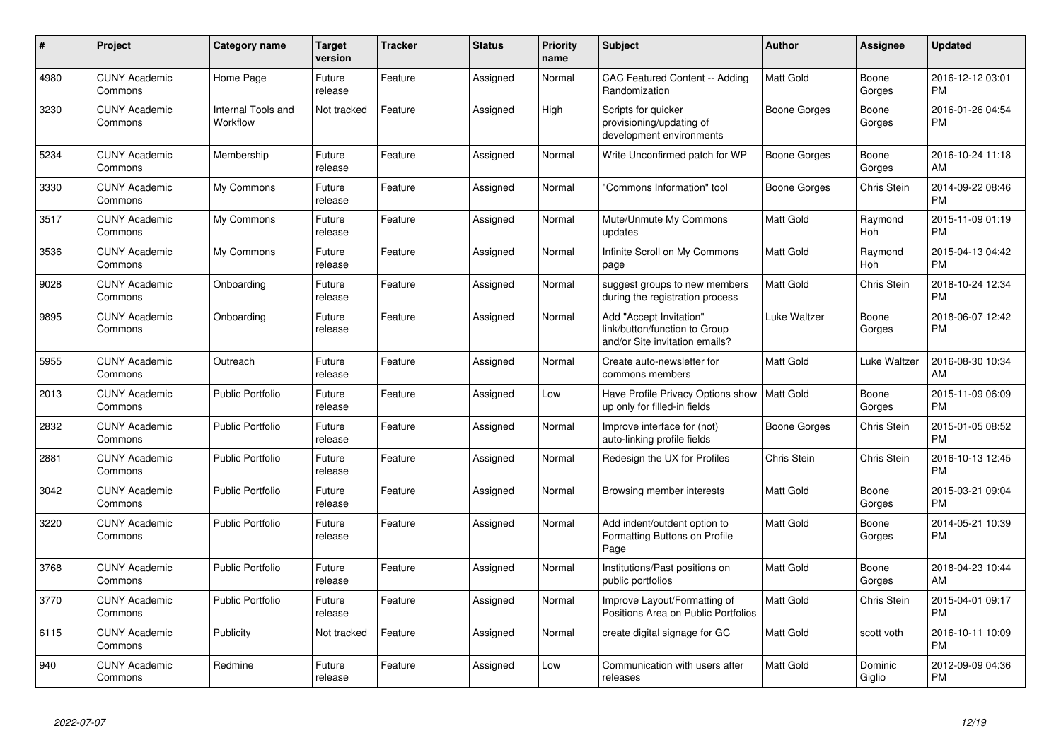| #    | Project                         | Category name                  | <b>Target</b><br>version | <b>Tracker</b> | <b>Status</b> | Priority<br>name | <b>Subject</b>                                                                             | <b>Author</b>       | <b>Assignee</b>       | <b>Updated</b>                |
|------|---------------------------------|--------------------------------|--------------------------|----------------|---------------|------------------|--------------------------------------------------------------------------------------------|---------------------|-----------------------|-------------------------------|
| 4980 | <b>CUNY Academic</b><br>Commons | Home Page                      | Future<br>release        | Feature        | Assigned      | Normal           | <b>CAC Featured Content -- Adding</b><br>Randomization                                     | <b>Matt Gold</b>    | Boone<br>Gorges       | 2016-12-12 03:01<br><b>PM</b> |
| 3230 | <b>CUNY Academic</b><br>Commons | Internal Tools and<br>Workflow | Not tracked              | Feature        | Assigned      | High             | Scripts for quicker<br>provisioning/updating of<br>development environments                | Boone Gorges        | Boone<br>Gorges       | 2016-01-26 04:54<br><b>PM</b> |
| 5234 | <b>CUNY Academic</b><br>Commons | Membership                     | Future<br>release        | Feature        | Assigned      | Normal           | Write Unconfirmed patch for WP                                                             | <b>Boone Gorges</b> | Boone<br>Gorges       | 2016-10-24 11:18<br>AM        |
| 3330 | <b>CUNY Academic</b><br>Commons | My Commons                     | Future<br>release        | Feature        | Assigned      | Normal           | "Commons Information" tool                                                                 | Boone Gorges        | Chris Stein           | 2014-09-22 08:46<br><b>PM</b> |
| 3517 | <b>CUNY Academic</b><br>Commons | My Commons                     | Future<br>release        | Feature        | Assigned      | Normal           | Mute/Unmute My Commons<br>updates                                                          | Matt Gold           | Raymond<br><b>Hoh</b> | 2015-11-09 01:19<br><b>PM</b> |
| 3536 | <b>CUNY Academic</b><br>Commons | My Commons                     | Future<br>release        | Feature        | Assigned      | Normal           | Infinite Scroll on My Commons<br>page                                                      | <b>Matt Gold</b>    | Raymond<br><b>Hoh</b> | 2015-04-13 04:42<br><b>PM</b> |
| 9028 | <b>CUNY Academic</b><br>Commons | Onboarding                     | Future<br>release        | Feature        | Assigned      | Normal           | suggest groups to new members<br>during the registration process                           | <b>Matt Gold</b>    | Chris Stein           | 2018-10-24 12:34<br><b>PM</b> |
| 9895 | <b>CUNY Academic</b><br>Commons | Onboarding                     | Future<br>release        | Feature        | Assigned      | Normal           | Add "Accept Invitation"<br>link/button/function to Group<br>and/or Site invitation emails? | Luke Waltzer        | Boone<br>Gorges       | 2018-06-07 12:42<br><b>PM</b> |
| 5955 | <b>CUNY Academic</b><br>Commons | Outreach                       | Future<br>release        | Feature        | Assigned      | Normal           | Create auto-newsletter for<br>commons members                                              | <b>Matt Gold</b>    | Luke Waltzer          | 2016-08-30 10:34<br>AM        |
| 2013 | <b>CUNY Academic</b><br>Commons | Public Portfolio               | Future<br>release        | Feature        | Assigned      | Low              | Have Profile Privacy Options show   Matt Gold<br>up only for filled-in fields              |                     | Boone<br>Gorges       | 2015-11-09 06:09<br><b>PM</b> |
| 2832 | <b>CUNY Academic</b><br>Commons | <b>Public Portfolio</b>        | Future<br>release        | Feature        | Assigned      | Normal           | Improve interface for (not)<br>auto-linking profile fields                                 | Boone Gorges        | Chris Stein           | 2015-01-05 08:52<br><b>PM</b> |
| 2881 | <b>CUNY Academic</b><br>Commons | <b>Public Portfolio</b>        | Future<br>release        | Feature        | Assigned      | Normal           | Redesign the UX for Profiles                                                               | Chris Stein         | Chris Stein           | 2016-10-13 12:45<br><b>PM</b> |
| 3042 | <b>CUNY Academic</b><br>Commons | <b>Public Portfolio</b>        | Future<br>release        | Feature        | Assigned      | Normal           | Browsing member interests                                                                  | <b>Matt Gold</b>    | Boone<br>Gorges       | 2015-03-21 09:04<br><b>PM</b> |
| 3220 | <b>CUNY Academic</b><br>Commons | <b>Public Portfolio</b>        | Future<br>release        | Feature        | Assigned      | Normal           | Add indent/outdent option to<br>Formatting Buttons on Profile<br>Page                      | <b>Matt Gold</b>    | Boone<br>Gorges       | 2014-05-21 10:39<br><b>PM</b> |
| 3768 | <b>CUNY Academic</b><br>Commons | <b>Public Portfolio</b>        | Future<br>release        | Feature        | Assigned      | Normal           | Institutions/Past positions on<br>public portfolios                                        | <b>Matt Gold</b>    | Boone<br>Gorges       | 2018-04-23 10:44<br>AM        |
| 3770 | <b>CUNY Academic</b><br>Commons | <b>Public Portfolio</b>        | Future<br>release        | Feature        | Assigned      | Normal           | Improve Layout/Formatting of<br>Positions Area on Public Portfolios                        | <b>Matt Gold</b>    | Chris Stein           | 2015-04-01 09:17<br><b>PM</b> |
| 6115 | <b>CUNY Academic</b><br>Commons | Publicity                      | Not tracked              | Feature        | Assigned      | Normal           | create digital signage for GC                                                              | <b>Matt Gold</b>    | scott voth            | 2016-10-11 10:09<br><b>PM</b> |
| 940  | <b>CUNY Academic</b><br>Commons | Redmine                        | Future<br>release        | Feature        | Assigned      | Low              | Communication with users after<br>releases                                                 | <b>Matt Gold</b>    | Dominic<br>Giglio     | 2012-09-09 04:36<br>PM        |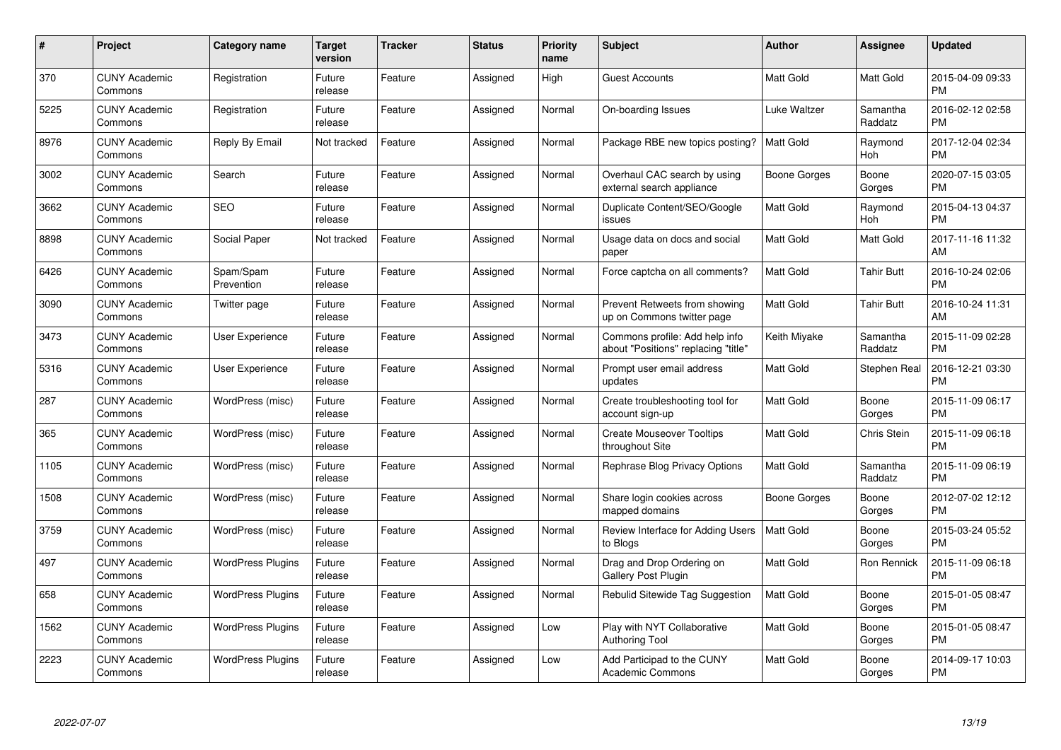| $\#$ | Project                         | <b>Category name</b>     | <b>Target</b><br>version | <b>Tracker</b> | <b>Status</b> | <b>Priority</b><br>name | <b>Subject</b>                                                        | <b>Author</b>       | <b>Assignee</b>     | <b>Updated</b>                |
|------|---------------------------------|--------------------------|--------------------------|----------------|---------------|-------------------------|-----------------------------------------------------------------------|---------------------|---------------------|-------------------------------|
| 370  | <b>CUNY Academic</b><br>Commons | Registration             | Future<br>release        | Feature        | Assigned      | High                    | Guest Accounts                                                        | <b>Matt Gold</b>    | Matt Gold           | 2015-04-09 09:33<br><b>PM</b> |
| 5225 | <b>CUNY Academic</b><br>Commons | Registration             | Future<br>release        | Feature        | Assigned      | Normal                  | On-boarding Issues                                                    | <b>Luke Waltzer</b> | Samantha<br>Raddatz | 2016-02-12 02:58<br><b>PM</b> |
| 8976 | <b>CUNY Academic</b><br>Commons | Reply By Email           | Not tracked              | Feature        | Assigned      | Normal                  | Package RBE new topics posting?                                       | Matt Gold           | Raymond<br>Hoh      | 2017-12-04 02:34<br><b>PM</b> |
| 3002 | <b>CUNY Academic</b><br>Commons | Search                   | Future<br>release        | Feature        | Assigned      | Normal                  | Overhaul CAC search by using<br>external search appliance             | Boone Gorges        | Boone<br>Gorges     | 2020-07-15 03:05<br><b>PM</b> |
| 3662 | <b>CUNY Academic</b><br>Commons | <b>SEO</b>               | Future<br>release        | Feature        | Assigned      | Normal                  | Duplicate Content/SEO/Google<br>issues                                | <b>Matt Gold</b>    | Raymond<br>Hoh      | 2015-04-13 04:37<br><b>PM</b> |
| 8898 | <b>CUNY Academic</b><br>Commons | Social Paper             | Not tracked              | Feature        | Assigned      | Normal                  | Usage data on docs and social<br>paper                                | <b>Matt Gold</b>    | Matt Gold           | 2017-11-16 11:32<br>AM        |
| 6426 | <b>CUNY Academic</b><br>Commons | Spam/Spam<br>Prevention  | Future<br>release        | Feature        | Assigned      | Normal                  | Force captcha on all comments?                                        | Matt Gold           | <b>Tahir Butt</b>   | 2016-10-24 02:06<br><b>PM</b> |
| 3090 | <b>CUNY Academic</b><br>Commons | Twitter page             | Future<br>release        | Feature        | Assigned      | Normal                  | Prevent Retweets from showing<br>up on Commons twitter page           | <b>Matt Gold</b>    | <b>Tahir Butt</b>   | 2016-10-24 11:31<br>AM        |
| 3473 | <b>CUNY Academic</b><br>Commons | <b>User Experience</b>   | Future<br>release        | Feature        | Assigned      | Normal                  | Commons profile: Add help info<br>about "Positions" replacing "title" | Keith Miyake        | Samantha<br>Raddatz | 2015-11-09 02:28<br><b>PM</b> |
| 5316 | <b>CUNY Academic</b><br>Commons | <b>User Experience</b>   | Future<br>release        | Feature        | Assigned      | Normal                  | Prompt user email address<br>updates                                  | <b>Matt Gold</b>    | Stephen Real        | 2016-12-21 03:30<br>PM        |
| 287  | <b>CUNY Academic</b><br>Commons | WordPress (misc)         | Future<br>release        | Feature        | Assigned      | Normal                  | Create troubleshooting tool for<br>account sign-up                    | Matt Gold           | Boone<br>Gorges     | 2015-11-09 06:17<br><b>PM</b> |
| 365  | <b>CUNY Academic</b><br>Commons | WordPress (misc)         | Future<br>release        | Feature        | Assigned      | Normal                  | <b>Create Mouseover Tooltips</b><br>throughout Site                   | Matt Gold           | Chris Stein         | 2015-11-09 06:18<br><b>PM</b> |
| 1105 | <b>CUNY Academic</b><br>Commons | WordPress (misc)         | Future<br>release        | Feature        | Assigned      | Normal                  | Rephrase Blog Privacy Options                                         | <b>Matt Gold</b>    | Samantha<br>Raddatz | 2015-11-09 06:19<br><b>PM</b> |
| 1508 | <b>CUNY Academic</b><br>Commons | WordPress (misc)         | Future<br>release        | Feature        | Assigned      | Normal                  | Share login cookies across<br>mapped domains                          | Boone Gorges        | Boone<br>Gorges     | 2012-07-02 12:12<br><b>PM</b> |
| 3759 | <b>CUNY Academic</b><br>Commons | WordPress (misc)         | Future<br>release        | Feature        | Assigned      | Normal                  | Review Interface for Adding Users<br>to Blogs                         | Matt Gold           | Boone<br>Gorges     | 2015-03-24 05:52<br><b>PM</b> |
| 497  | <b>CUNY Academic</b><br>Commons | <b>WordPress Plugins</b> | Future<br>release        | Feature        | Assigned      | Normal                  | Drag and Drop Ordering on<br><b>Gallery Post Plugin</b>               | Matt Gold           | Ron Rennick         | 2015-11-09 06:18<br><b>PM</b> |
| 658  | <b>CUNY Academic</b><br>Commons | <b>WordPress Plugins</b> | Future<br>release        | Feature        | Assigned      | Normal                  | Rebulid Sitewide Tag Suggestion                                       | <b>Matt Gold</b>    | Boone<br>Gorges     | 2015-01-05 08:47<br><b>PM</b> |
| 1562 | <b>CUNY Academic</b><br>Commons | <b>WordPress Plugins</b> | Future<br>release        | Feature        | Assigned      | Low                     | Play with NYT Collaborative<br><b>Authoring Tool</b>                  | Matt Gold           | Boone<br>Gorges     | 2015-01-05 08:47<br><b>PM</b> |
| 2223 | <b>CUNY Academic</b><br>Commons | <b>WordPress Plugins</b> | Future<br>release        | Feature        | Assigned      | Low                     | Add Participad to the CUNY<br><b>Academic Commons</b>                 | <b>Matt Gold</b>    | Boone<br>Gorges     | 2014-09-17 10:03<br><b>PM</b> |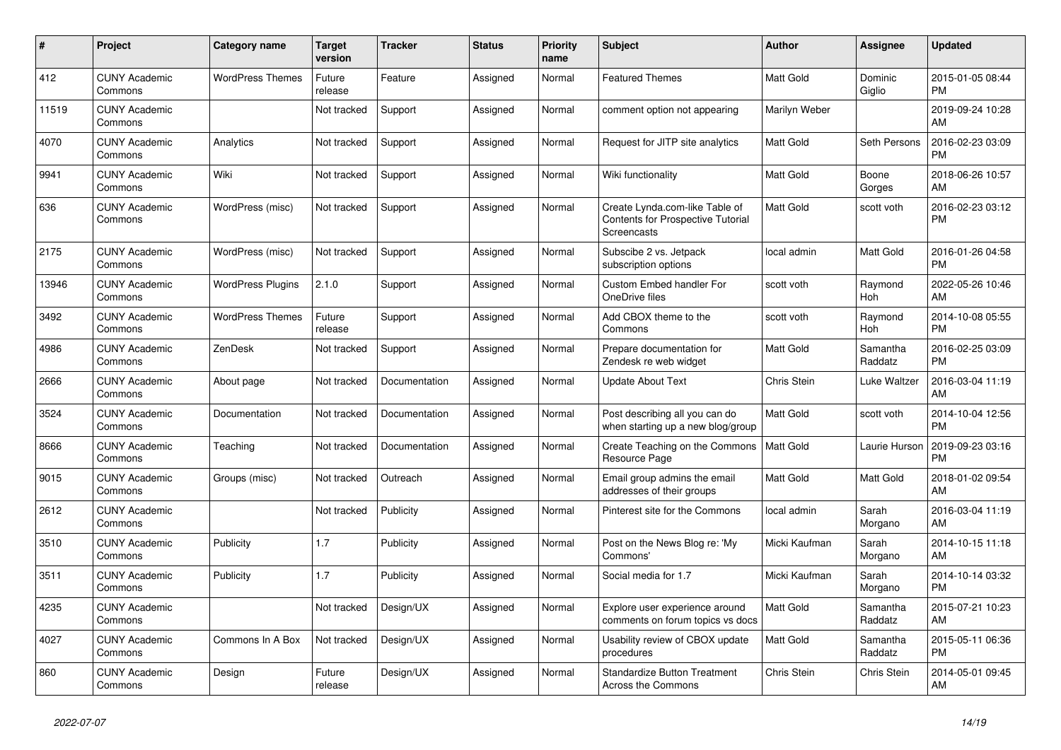| #     | <b>Project</b>                  | <b>Category name</b>     | <b>Target</b><br>version | <b>Tracker</b> | <b>Status</b> | <b>Priority</b><br>name | <b>Subject</b>                                                                            | <b>Author</b>    | Assignee            | <b>Updated</b>                |
|-------|---------------------------------|--------------------------|--------------------------|----------------|---------------|-------------------------|-------------------------------------------------------------------------------------------|------------------|---------------------|-------------------------------|
| 412   | <b>CUNY Academic</b><br>Commons | <b>WordPress Themes</b>  | Future<br>release        | Feature        | Assigned      | Normal                  | <b>Featured Themes</b>                                                                    | <b>Matt Gold</b> | Dominic<br>Giglio   | 2015-01-05 08:44<br><b>PM</b> |
| 11519 | <b>CUNY Academic</b><br>Commons |                          | Not tracked              | Support        | Assigned      | Normal                  | comment option not appearing                                                              | Marilyn Weber    |                     | 2019-09-24 10:28<br>AM        |
| 4070  | <b>CUNY Academic</b><br>Commons | Analytics                | Not tracked              | Support        | Assigned      | Normal                  | Request for JITP site analytics                                                           | <b>Matt Gold</b> | Seth Persons        | 2016-02-23 03:09<br><b>PM</b> |
| 9941  | <b>CUNY Academic</b><br>Commons | Wiki                     | Not tracked              | Support        | Assigned      | Normal                  | Wiki functionality                                                                        | <b>Matt Gold</b> | Boone<br>Gorges     | 2018-06-26 10:57<br>AM        |
| 636   | <b>CUNY Academic</b><br>Commons | WordPress (misc)         | Not tracked              | Support        | Assigned      | Normal                  | Create Lynda.com-like Table of<br><b>Contents for Prospective Tutorial</b><br>Screencasts | <b>Matt Gold</b> | scott voth          | 2016-02-23 03:12<br><b>PM</b> |
| 2175  | <b>CUNY Academic</b><br>Commons | WordPress (misc)         | Not tracked              | Support        | Assigned      | Normal                  | Subscibe 2 vs. Jetpack<br>subscription options                                            | local admin      | Matt Gold           | 2016-01-26 04:58<br><b>PM</b> |
| 13946 | <b>CUNY Academic</b><br>Commons | <b>WordPress Plugins</b> | 2.1.0                    | Support        | Assigned      | Normal                  | Custom Embed handler For<br>OneDrive files                                                | scott voth       | Raymond<br>Hoh      | 2022-05-26 10:46<br>AM        |
| 3492  | <b>CUNY Academic</b><br>Commons | <b>WordPress Themes</b>  | Future<br>release        | Support        | Assigned      | Normal                  | Add CBOX theme to the<br>Commons                                                          | scott voth       | Raymond<br>Hoh      | 2014-10-08 05:55<br><b>PM</b> |
| 4986  | <b>CUNY Academic</b><br>Commons | ZenDesk                  | Not tracked              | Support        | Assigned      | Normal                  | Prepare documentation for<br>Zendesk re web widget                                        | <b>Matt Gold</b> | Samantha<br>Raddatz | 2016-02-25 03:09<br><b>PM</b> |
| 2666  | <b>CUNY Academic</b><br>Commons | About page               | Not tracked              | Documentation  | Assigned      | Normal                  | <b>Update About Text</b>                                                                  | Chris Stein      | Luke Waltzer        | 2016-03-04 11:19<br>AM        |
| 3524  | <b>CUNY Academic</b><br>Commons | Documentation            | Not tracked              | Documentation  | Assigned      | Normal                  | Post describing all you can do<br>when starting up a new blog/group                       | <b>Matt Gold</b> | scott voth          | 2014-10-04 12:56<br><b>PM</b> |
| 8666  | <b>CUNY Academic</b><br>Commons | Teaching                 | Not tracked              | Documentation  | Assigned      | Normal                  | Create Teaching on the Commons   Matt Gold<br>Resource Page                               |                  | Laurie Hurson       | 2019-09-23 03:16<br><b>PM</b> |
| 9015  | <b>CUNY Academic</b><br>Commons | Groups (misc)            | Not tracked              | Outreach       | Assigned      | Normal                  | Email group admins the email<br>addresses of their groups                                 | <b>Matt Gold</b> | Matt Gold           | 2018-01-02 09:54<br>AM        |
| 2612  | <b>CUNY Academic</b><br>Commons |                          | Not tracked              | Publicity      | Assigned      | Normal                  | Pinterest site for the Commons                                                            | local admin      | Sarah<br>Morgano    | 2016-03-04 11:19<br>AM        |
| 3510  | <b>CUNY Academic</b><br>Commons | Publicity                | 1.7                      | Publicity      | Assigned      | Normal                  | Post on the News Blog re: 'My<br>Commons'                                                 | Micki Kaufman    | Sarah<br>Morgano    | 2014-10-15 11:18<br>AM        |
| 3511  | <b>CUNY Academic</b><br>Commons | Publicity                | 1.7                      | Publicity      | Assigned      | Normal                  | Social media for 1.7                                                                      | Micki Kaufman    | Sarah<br>Morgano    | 2014-10-14 03:32<br><b>PM</b> |
| 4235  | <b>CUNY Academic</b><br>Commons |                          | Not tracked              | Design/UX      | Assigned      | Normal                  | Explore user experience around<br>comments on forum topics vs docs                        | <b>Matt Gold</b> | Samantha<br>Raddatz | 2015-07-21 10:23<br>AM        |
| 4027  | <b>CUNY Academic</b><br>Commons | Commons In A Box         | Not tracked              | Design/UX      | Assigned      | Normal                  | Usability review of CBOX update<br>procedures                                             | <b>Matt Gold</b> | Samantha<br>Raddatz | 2015-05-11 06:36<br><b>PM</b> |
| 860   | <b>CUNY Academic</b><br>Commons | Design                   | Future<br>release        | Design/UX      | Assigned      | Normal                  | <b>Standardize Button Treatment</b><br>Across the Commons                                 | Chris Stein      | Chris Stein         | 2014-05-01 09:45<br>AM        |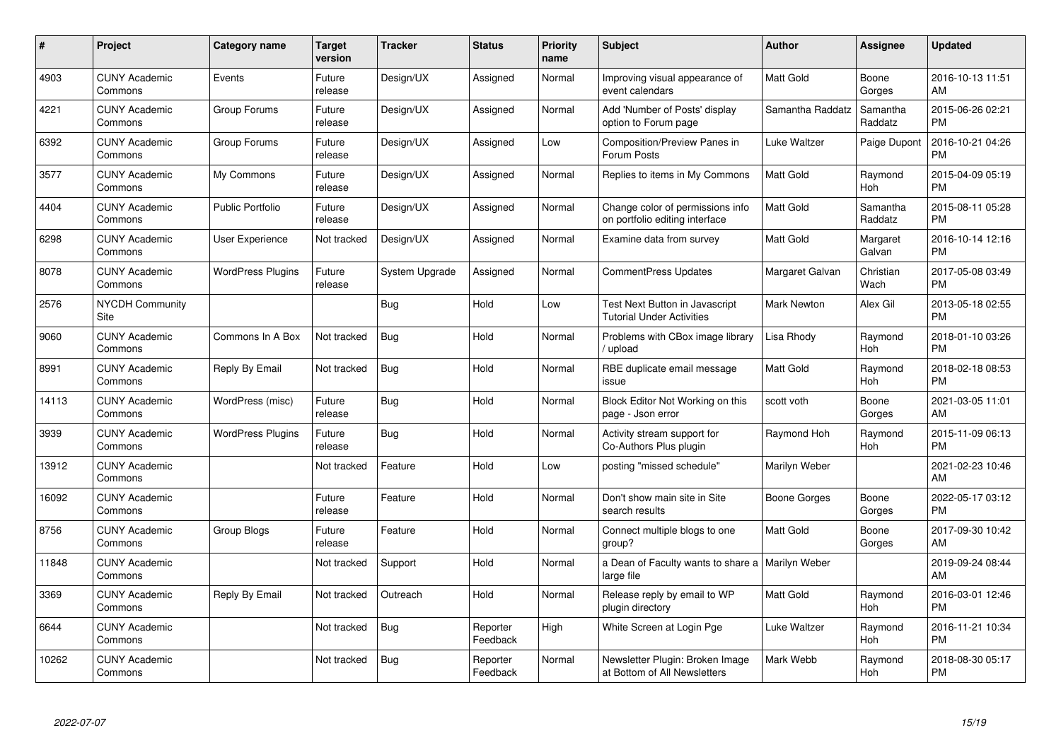| $\#$  | Project                               | <b>Category name</b>     | <b>Target</b><br>version | <b>Tracker</b> | <b>Status</b>        | <b>Priority</b><br>name | <b>Subject</b>                                                            | <b>Author</b>      | <b>Assignee</b>     | <b>Updated</b>                |
|-------|---------------------------------------|--------------------------|--------------------------|----------------|----------------------|-------------------------|---------------------------------------------------------------------------|--------------------|---------------------|-------------------------------|
| 4903  | <b>CUNY Academic</b><br>Commons       | Events                   | Future<br>release        | Design/UX      | Assigned             | Normal                  | Improving visual appearance of<br>event calendars                         | <b>Matt Gold</b>   | Boone<br>Gorges     | 2016-10-13 11:51<br>AM        |
| 4221  | <b>CUNY Academic</b><br>Commons       | Group Forums             | Future<br>release        | Design/UX      | Assigned             | Normal                  | Add 'Number of Posts' display<br>option to Forum page                     | Samantha Raddatz   | Samantha<br>Raddatz | 2015-06-26 02:21<br><b>PM</b> |
| 6392  | <b>CUNY Academic</b><br>Commons       | Group Forums             | Future<br>release        | Design/UX      | Assigned             | Low                     | <b>Composition/Preview Panes in</b><br>Forum Posts                        | Luke Waltzer       | Paige Dupont        | 2016-10-21 04:26<br><b>PM</b> |
| 3577  | <b>CUNY Academic</b><br>Commons       | My Commons               | Future<br>release        | Design/UX      | Assigned             | Normal                  | Replies to items in My Commons                                            | <b>Matt Gold</b>   | Raymond<br>Hoh      | 2015-04-09 05:19<br><b>PM</b> |
| 4404  | <b>CUNY Academic</b><br>Commons       | <b>Public Portfolio</b>  | Future<br>release        | Design/UX      | Assigned             | Normal                  | Change color of permissions info<br>on portfolio editing interface        | <b>Matt Gold</b>   | Samantha<br>Raddatz | 2015-08-11 05:28<br><b>PM</b> |
| 6298  | <b>CUNY Academic</b><br>Commons       | User Experience          | Not tracked              | Design/UX      | Assigned             | Normal                  | Examine data from survey                                                  | Matt Gold          | Margaret<br>Galvan  | 2016-10-14 12:16<br><b>PM</b> |
| 8078  | <b>CUNY Academic</b><br>Commons       | <b>WordPress Plugins</b> | Future<br>release        | System Upgrade | Assigned             | Normal                  | <b>CommentPress Updates</b>                                               | Margaret Galvan    | Christian<br>Wach   | 2017-05-08 03:49<br><b>PM</b> |
| 2576  | <b>NYCDH Community</b><br><b>Site</b> |                          |                          | <b>Bug</b>     | Hold                 | Low                     | <b>Test Next Button in Javascript</b><br><b>Tutorial Under Activities</b> | <b>Mark Newton</b> | Alex Gil            | 2013-05-18 02:55<br><b>PM</b> |
| 9060  | <b>CUNY Academic</b><br>Commons       | Commons In A Box         | Not tracked              | <b>Bug</b>     | Hold                 | Normal                  | Problems with CBox image library<br>upload                                | Lisa Rhody         | Raymond<br>Hoh      | 2018-01-10 03:26<br><b>PM</b> |
| 8991  | <b>CUNY Academic</b><br>Commons       | Reply By Email           | Not tracked              | <b>Bug</b>     | Hold                 | Normal                  | RBE duplicate email message<br>issue                                      | <b>Matt Gold</b>   | Raymond<br>Hoh      | 2018-02-18 08:53<br><b>PM</b> |
| 14113 | <b>CUNY Academic</b><br>Commons       | WordPress (misc)         | Future<br>release        | <b>Bug</b>     | Hold                 | Normal                  | Block Editor Not Working on this<br>page - Json error                     | scott voth         | Boone<br>Gorges     | 2021-03-05 11:01<br>AM        |
| 3939  | <b>CUNY Academic</b><br>Commons       | <b>WordPress Plugins</b> | Future<br>release        | Bug            | Hold                 | Normal                  | Activity stream support for<br>Co-Authors Plus plugin                     | Raymond Hoh        | Raymond<br>Hoh      | 2015-11-09 06:13<br><b>PM</b> |
| 13912 | <b>CUNY Academic</b><br>Commons       |                          | Not tracked              | Feature        | Hold                 | Low                     | posting "missed schedule"                                                 | Marilyn Weber      |                     | 2021-02-23 10:46<br>AM        |
| 16092 | <b>CUNY Academic</b><br>Commons       |                          | Future<br>release        | Feature        | Hold                 | Normal                  | Don't show main site in Site<br>search results                            | Boone Gorges       | Boone<br>Gorges     | 2022-05-17 03:12<br><b>PM</b> |
| 8756  | <b>CUNY Academic</b><br>Commons       | <b>Group Blogs</b>       | Future<br>release        | Feature        | Hold                 | Normal                  | Connect multiple blogs to one<br>group?                                   | <b>Matt Gold</b>   | Boone<br>Gorges     | 2017-09-30 10:42<br>AM        |
| 11848 | <b>CUNY Academic</b><br>Commons       |                          | Not tracked              | Support        | Hold                 | Normal                  | a Dean of Faculty wants to share a   Marilyn Weber<br>large file          |                    |                     | 2019-09-24 08:44<br>AM        |
| 3369  | <b>CUNY Academic</b><br>Commons       | Reply By Email           | Not tracked              | Outreach       | Hold                 | Normal                  | Release reply by email to WP<br>plugin directory                          | <b>Matt Gold</b>   | Raymond<br>Hoh      | 2016-03-01 12:46<br><b>PM</b> |
| 6644  | <b>CUNY Academic</b><br>Commons       |                          | Not tracked              | Bug            | Reporter<br>Feedback | High                    | White Screen at Login Pge                                                 | Luke Waltzer       | Raymond<br>Hoh      | 2016-11-21 10:34<br><b>PM</b> |
| 10262 | <b>CUNY Academic</b><br>Commons       |                          | Not tracked              | <b>Bug</b>     | Reporter<br>Feedback | Normal                  | Newsletter Plugin: Broken Image<br>at Bottom of All Newsletters           | Mark Webb          | Raymond<br>Hoh      | 2018-08-30 05:17<br>PM        |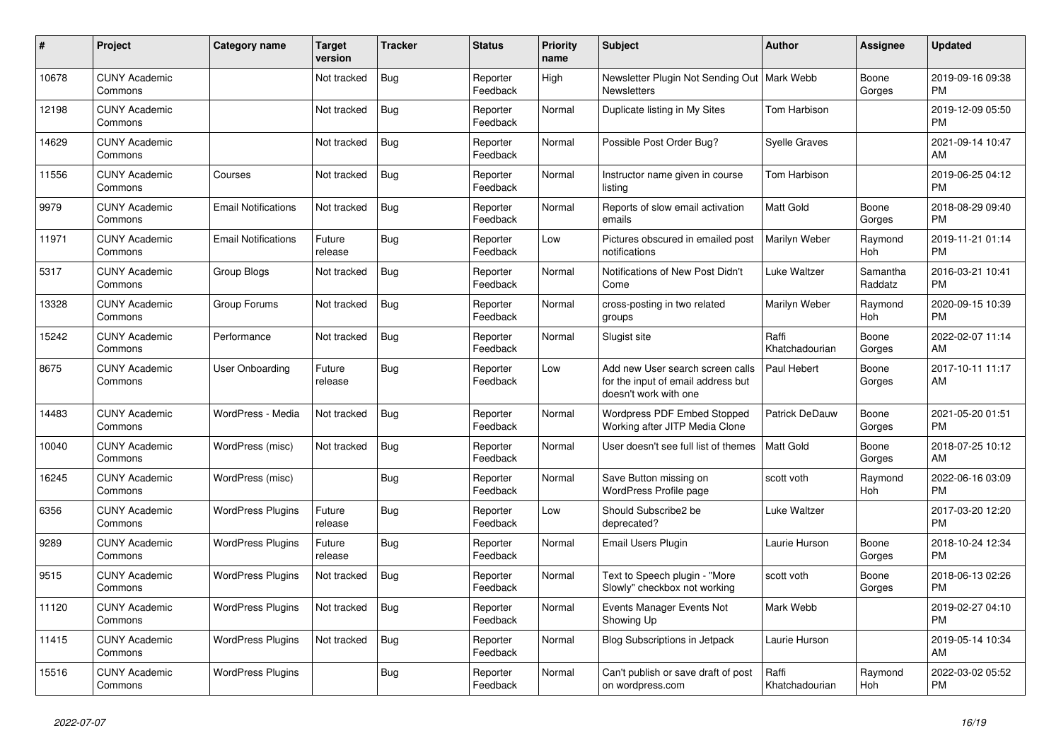| #     | Project                         | <b>Category name</b>       | <b>Target</b><br>version | <b>Tracker</b> | <b>Status</b>        | <b>Priority</b><br>name | <b>Subject</b>                                                                                  | <b>Author</b>           | <b>Assignee</b>     | <b>Updated</b>                |
|-------|---------------------------------|----------------------------|--------------------------|----------------|----------------------|-------------------------|-------------------------------------------------------------------------------------------------|-------------------------|---------------------|-------------------------------|
| 10678 | <b>CUNY Academic</b><br>Commons |                            | Not tracked              | <b>Bug</b>     | Reporter<br>Feedback | High                    | Newsletter Plugin Not Sending Out   Mark Webb<br><b>Newsletters</b>                             |                         | Boone<br>Gorges     | 2019-09-16 09:38<br>PM        |
| 12198 | <b>CUNY Academic</b><br>Commons |                            | Not tracked              | Bug            | Reporter<br>Feedback | Normal                  | Duplicate listing in My Sites                                                                   | Tom Harbison            |                     | 2019-12-09 05:50<br><b>PM</b> |
| 14629 | <b>CUNY Academic</b><br>Commons |                            | Not tracked              | <b>Bug</b>     | Reporter<br>Feedback | Normal                  | Possible Post Order Bug?                                                                        | <b>Syelle Graves</b>    |                     | 2021-09-14 10:47<br>AM        |
| 11556 | <b>CUNY Academic</b><br>Commons | Courses                    | Not tracked              | <b>Bug</b>     | Reporter<br>Feedback | Normal                  | Instructor name given in course<br>listing                                                      | Tom Harbison            |                     | 2019-06-25 04:12<br>PM        |
| 9979  | <b>CUNY Academic</b><br>Commons | <b>Email Notifications</b> | Not tracked              | Bug            | Reporter<br>Feedback | Normal                  | Reports of slow email activation<br>emails                                                      | <b>Matt Gold</b>        | Boone<br>Gorges     | 2018-08-29 09:40<br><b>PM</b> |
| 11971 | <b>CUNY Academic</b><br>Commons | <b>Email Notifications</b> | Future<br>release        | Bug            | Reporter<br>Feedback | Low                     | Pictures obscured in emailed post<br>notifications                                              | Marilyn Weber           | Raymond<br>Hoh      | 2019-11-21 01:14<br><b>PM</b> |
| 5317  | <b>CUNY Academic</b><br>Commons | Group Blogs                | Not tracked              | Bug            | Reporter<br>Feedback | Normal                  | Notifications of New Post Didn't<br>Come                                                        | <b>Luke Waltzer</b>     | Samantha<br>Raddatz | 2016-03-21 10:41<br><b>PM</b> |
| 13328 | <b>CUNY Academic</b><br>Commons | Group Forums               | Not tracked              | Bug            | Reporter<br>Feedback | Normal                  | cross-posting in two related<br>groups                                                          | Marilyn Weber           | Raymond<br>Hoh      | 2020-09-15 10:39<br>PM        |
| 15242 | <b>CUNY Academic</b><br>Commons | Performance                | Not tracked              | <b>Bug</b>     | Reporter<br>Feedback | Normal                  | Slugist site                                                                                    | Raffi<br>Khatchadourian | Boone<br>Gorges     | 2022-02-07 11:14<br>AM        |
| 8675  | <b>CUNY Academic</b><br>Commons | User Onboarding            | Future<br>release        | <b>Bug</b>     | Reporter<br>Feedback | Low                     | Add new User search screen calls<br>for the input of email address but<br>doesn't work with one | Paul Hebert             | Boone<br>Gorges     | 2017-10-11 11:17<br>AM        |
| 14483 | <b>CUNY Academic</b><br>Commons | WordPress - Media          | Not tracked              | <b>Bug</b>     | Reporter<br>Feedback | Normal                  | <b>Wordpress PDF Embed Stopped</b><br>Working after JITP Media Clone                            | <b>Patrick DeDauw</b>   | Boone<br>Gorges     | 2021-05-20 01:51<br><b>PM</b> |
| 10040 | <b>CUNY Academic</b><br>Commons | WordPress (misc)           | Not tracked              | Bug            | Reporter<br>Feedback | Normal                  | User doesn't see full list of themes                                                            | <b>Matt Gold</b>        | Boone<br>Gorges     | 2018-07-25 10:12<br>AM        |
| 16245 | <b>CUNY Academic</b><br>Commons | WordPress (misc)           |                          | <b>Bug</b>     | Reporter<br>Feedback | Normal                  | Save Button missing on<br>WordPress Profile page                                                | scott voth              | Raymond<br>Hoh      | 2022-06-16 03:09<br><b>PM</b> |
| 6356  | <b>CUNY Academic</b><br>Commons | <b>WordPress Plugins</b>   | Future<br>release        | Bug            | Reporter<br>Feedback | Low                     | Should Subscribe2 be<br>deprecated?                                                             | Luke Waltzer            |                     | 2017-03-20 12:20<br><b>PM</b> |
| 9289  | <b>CUNY Academic</b><br>Commons | <b>WordPress Plugins</b>   | Future<br>release        | Bug            | Reporter<br>Feedback | Normal                  | Email Users Plugin                                                                              | Laurie Hurson           | Boone<br>Gorges     | 2018-10-24 12:34<br><b>PM</b> |
| 9515  | <b>CUNY Academic</b><br>Commons | <b>WordPress Plugins</b>   | Not tracked              | <b>Bug</b>     | Reporter<br>Feedback | Normal                  | Text to Speech plugin - "More<br>Slowly" checkbox not working                                   | scott voth              | Boone<br>Gorges     | 2018-06-13 02:26<br>PM        |
| 11120 | <b>CUNY Academic</b><br>Commons | <b>WordPress Plugins</b>   | Not tracked              | Bug            | Reporter<br>Feedback | Normal                  | <b>Events Manager Events Not</b><br>Showing Up                                                  | Mark Webb               |                     | 2019-02-27 04:10<br><b>PM</b> |
| 11415 | <b>CUNY Academic</b><br>Commons | <b>WordPress Plugins</b>   | Not tracked              | <b>Bug</b>     | Reporter<br>Feedback | Normal                  | <b>Blog Subscriptions in Jetpack</b>                                                            | Laurie Hurson           |                     | 2019-05-14 10:34<br>AM        |
| 15516 | <b>CUNY Academic</b><br>Commons | <b>WordPress Plugins</b>   |                          | <b>Bug</b>     | Reporter<br>Feedback | Normal                  | Can't publish or save draft of post<br>on wordpress.com                                         | Raffi<br>Khatchadourian | Raymond<br>Hoh      | 2022-03-02 05:52<br><b>PM</b> |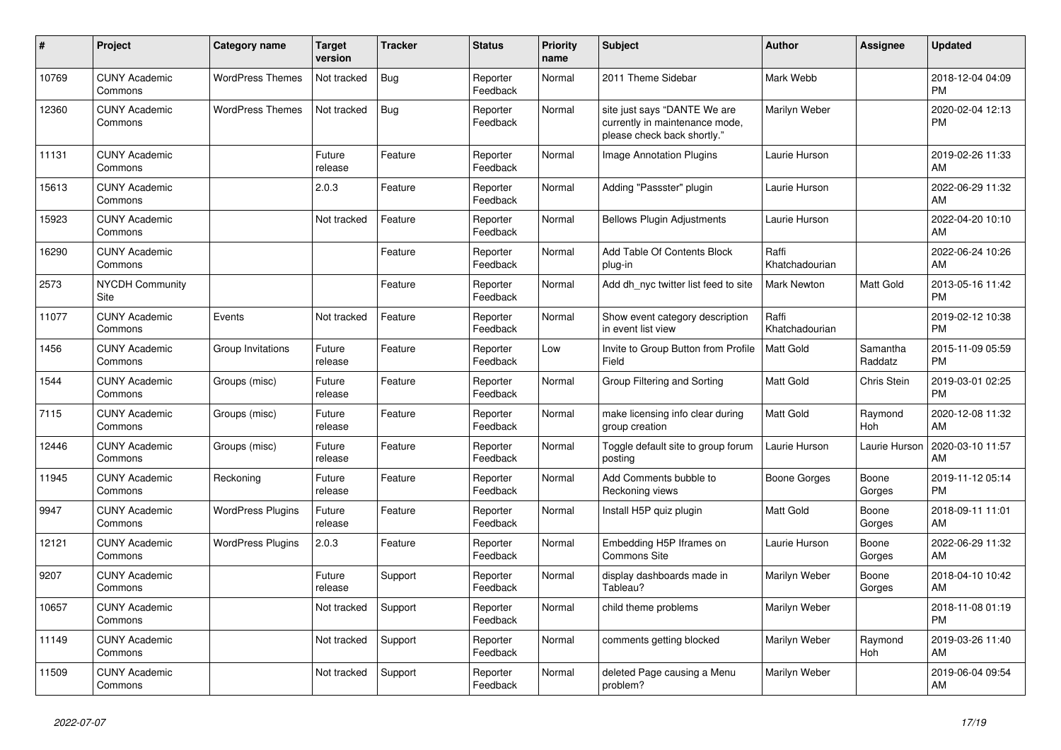| #     | <b>Project</b>                  | <b>Category name</b>     | <b>Target</b><br>version | <b>Tracker</b> | <b>Status</b>        | <b>Priority</b><br>name | <b>Subject</b>                                                                                | <b>Author</b>           | Assignee            | <b>Updated</b>                |
|-------|---------------------------------|--------------------------|--------------------------|----------------|----------------------|-------------------------|-----------------------------------------------------------------------------------------------|-------------------------|---------------------|-------------------------------|
| 10769 | <b>CUNY Academic</b><br>Commons | <b>WordPress Themes</b>  | Not tracked              | Bug            | Reporter<br>Feedback | Normal                  | 2011 Theme Sidebar                                                                            | Mark Webb               |                     | 2018-12-04 04:09<br><b>PM</b> |
| 12360 | <b>CUNY Academic</b><br>Commons | <b>WordPress Themes</b>  | Not tracked              | <b>Bug</b>     | Reporter<br>Feedback | Normal                  | site just says "DANTE We are<br>currently in maintenance mode,<br>please check back shortly." | Marilyn Weber           |                     | 2020-02-04 12:13<br><b>PM</b> |
| 11131 | <b>CUNY Academic</b><br>Commons |                          | Future<br>release        | Feature        | Reporter<br>Feedback | Normal                  | <b>Image Annotation Plugins</b>                                                               | Laurie Hurson           |                     | 2019-02-26 11:33<br>AM        |
| 15613 | <b>CUNY Academic</b><br>Commons |                          | 2.0.3                    | Feature        | Reporter<br>Feedback | Normal                  | Adding "Passster" plugin                                                                      | Laurie Hurson           |                     | 2022-06-29 11:32<br>AM        |
| 15923 | <b>CUNY Academic</b><br>Commons |                          | Not tracked              | Feature        | Reporter<br>Feedback | Normal                  | <b>Bellows Plugin Adjustments</b>                                                             | Laurie Hurson           |                     | 2022-04-20 10:10<br>AM        |
| 16290 | <b>CUNY Academic</b><br>Commons |                          |                          | Feature        | Reporter<br>Feedback | Normal                  | Add Table Of Contents Block<br>plug-in                                                        | Raffi<br>Khatchadourian |                     | 2022-06-24 10:26<br>AM        |
| 2573  | NYCDH Community<br>Site         |                          |                          | Feature        | Reporter<br>Feedback | Normal                  | Add dh nyc twitter list feed to site                                                          | Mark Newton             | Matt Gold           | 2013-05-16 11:42<br><b>PM</b> |
| 11077 | <b>CUNY Academic</b><br>Commons | Events                   | Not tracked              | Feature        | Reporter<br>Feedback | Normal                  | Show event category description<br>in event list view                                         | Raffi<br>Khatchadourian |                     | 2019-02-12 10:38<br><b>PM</b> |
| 1456  | <b>CUNY Academic</b><br>Commons | Group Invitations        | Future<br>release        | Feature        | Reporter<br>Feedback | Low                     | Invite to Group Button from Profile<br>Field                                                  | <b>Matt Gold</b>        | Samantha<br>Raddatz | 2015-11-09 05:59<br><b>PM</b> |
| 1544  | <b>CUNY Academic</b><br>Commons | Groups (misc)            | Future<br>release        | Feature        | Reporter<br>Feedback | Normal                  | Group Filtering and Sorting                                                                   | Matt Gold               | <b>Chris Stein</b>  | 2019-03-01 02:25<br><b>PM</b> |
| 7115  | <b>CUNY Academic</b><br>Commons | Groups (misc)            | Future<br>release        | Feature        | Reporter<br>Feedback | Normal                  | make licensing info clear during<br>group creation                                            | Matt Gold               | Raymond<br>Hoh      | 2020-12-08 11:32<br>AM        |
| 12446 | <b>CUNY Academic</b><br>Commons | Groups (misc)            | Future<br>release        | Feature        | Reporter<br>Feedback | Normal                  | Toggle default site to group forum<br>posting                                                 | Laurie Hurson           | Laurie Hurson       | 2020-03-10 11:57<br>AM        |
| 11945 | <b>CUNY Academic</b><br>Commons | Reckoning                | Future<br>release        | Feature        | Reporter<br>Feedback | Normal                  | Add Comments bubble to<br>Reckoning views                                                     | Boone Gorges            | Boone<br>Gorges     | 2019-11-12 05:14<br><b>PM</b> |
| 9947  | <b>CUNY Academic</b><br>Commons | <b>WordPress Plugins</b> | Future<br>release        | Feature        | Reporter<br>Feedback | Normal                  | Install H5P quiz plugin                                                                       | <b>Matt Gold</b>        | Boone<br>Gorges     | 2018-09-11 11:01<br>AM        |
| 12121 | <b>CUNY Academic</b><br>Commons | <b>WordPress Plugins</b> | 2.0.3                    | Feature        | Reporter<br>Feedback | Normal                  | Embedding H5P Iframes on<br>Commons Site                                                      | Laurie Hurson           | Boone<br>Gorges     | 2022-06-29 11:32<br>AM        |
| 9207  | <b>CUNY Academic</b><br>Commons |                          | Future<br>release        | Support        | Reporter<br>Feedback | Normal                  | display dashboards made in<br>Tableau?                                                        | Marilyn Weber           | Boone<br>Gorges     | 2018-04-10 10:42<br>AM        |
| 10657 | <b>CUNY Academic</b><br>Commons |                          | Not tracked              | Support        | Reporter<br>Feedback | Normal                  | child theme problems                                                                          | Marilyn Weber           |                     | 2018-11-08 01:19<br><b>PM</b> |
| 11149 | <b>CUNY Academic</b><br>Commons |                          | Not tracked              | Support        | Reporter<br>Feedback | Normal                  | comments getting blocked                                                                      | Marilyn Weber           | Raymond<br>Hoh      | 2019-03-26 11:40<br>AM        |
| 11509 | <b>CUNY Academic</b><br>Commons |                          | Not tracked              | Support        | Reporter<br>Feedback | Normal                  | deleted Page causing a Menu<br>problem?                                                       | Marilyn Weber           |                     | 2019-06-04 09:54<br>AM        |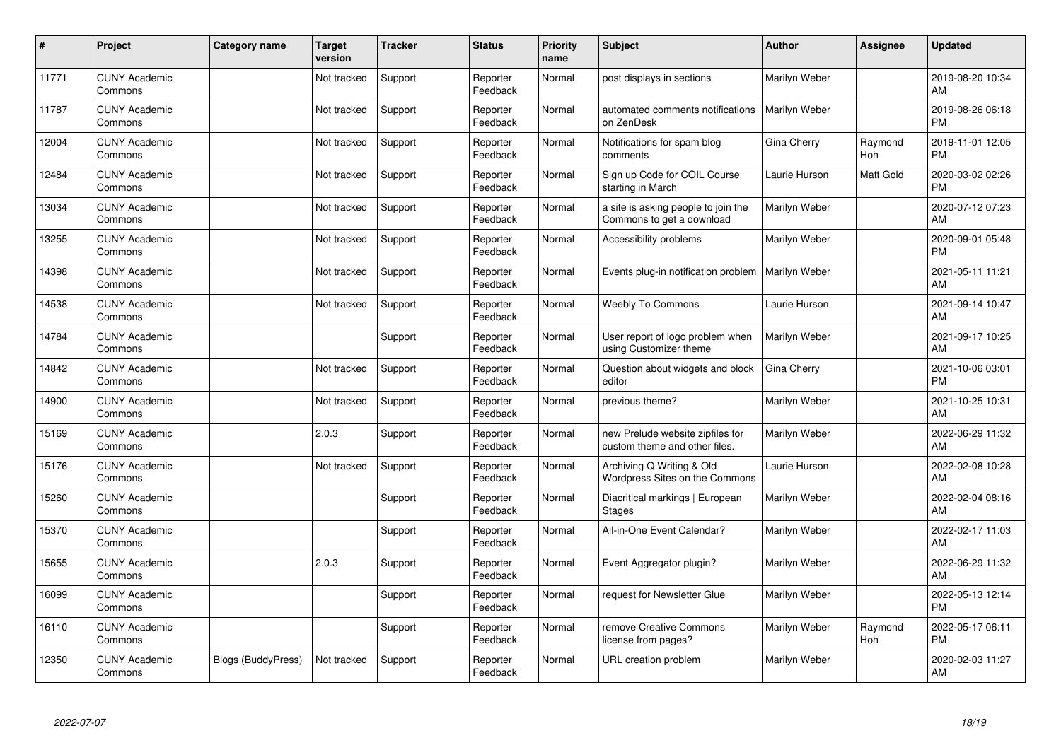| #     | Project                         | Category name             | <b>Target</b><br>version | <b>Tracker</b> | <b>Status</b>        | <b>Priority</b><br>name | Subject                                                           | <b>Author</b>        | <b>Assignee</b> | <b>Updated</b>                |
|-------|---------------------------------|---------------------------|--------------------------|----------------|----------------------|-------------------------|-------------------------------------------------------------------|----------------------|-----------------|-------------------------------|
| 11771 | <b>CUNY Academic</b><br>Commons |                           | Not tracked              | Support        | Reporter<br>Feedback | Normal                  | post displays in sections                                         | Marilyn Weber        |                 | 2019-08-20 10:34<br>AM        |
| 11787 | <b>CUNY Academic</b><br>Commons |                           | Not tracked              | Support        | Reporter<br>Feedback | Normal                  | automated comments notifications<br>on ZenDesk                    | <b>Marilyn Weber</b> |                 | 2019-08-26 06:18<br><b>PM</b> |
| 12004 | <b>CUNY Academic</b><br>Commons |                           | Not tracked              | Support        | Reporter<br>Feedback | Normal                  | Notifications for spam blog<br>comments                           | Gina Cherry          | Raymond<br>Hoh  | 2019-11-01 12:05<br><b>PM</b> |
| 12484 | <b>CUNY Academic</b><br>Commons |                           | Not tracked              | Support        | Reporter<br>Feedback | Normal                  | Sign up Code for COIL Course<br>starting in March                 | Laurie Hurson        | Matt Gold       | 2020-03-02 02:26<br><b>PM</b> |
| 13034 | <b>CUNY Academic</b><br>Commons |                           | Not tracked              | Support        | Reporter<br>Feedback | Normal                  | a site is asking people to join the<br>Commons to get a download  | Marilyn Weber        |                 | 2020-07-12 07:23<br>AM        |
| 13255 | <b>CUNY Academic</b><br>Commons |                           | Not tracked              | Support        | Reporter<br>Feedback | Normal                  | Accessibility problems                                            | Marilyn Weber        |                 | 2020-09-01 05:48<br><b>PM</b> |
| 14398 | <b>CUNY Academic</b><br>Commons |                           | Not tracked              | Support        | Reporter<br>Feedback | Normal                  | Events plug-in notification problem                               | Marilyn Weber        |                 | 2021-05-11 11:21<br>AM        |
| 14538 | <b>CUNY Academic</b><br>Commons |                           | Not tracked              | Support        | Reporter<br>Feedback | Normal                  | <b>Weebly To Commons</b>                                          | Laurie Hurson        |                 | 2021-09-14 10:47<br>AM        |
| 14784 | <b>CUNY Academic</b><br>Commons |                           |                          | Support        | Reporter<br>Feedback | Normal                  | User report of logo problem when<br>using Customizer theme        | Marilyn Weber        |                 | 2021-09-17 10:25<br>AM        |
| 14842 | <b>CUNY Academic</b><br>Commons |                           | Not tracked              | Support        | Reporter<br>Feedback | Normal                  | Question about widgets and block<br>editor                        | Gina Cherry          |                 | 2021-10-06 03:01<br><b>PM</b> |
| 14900 | <b>CUNY Academic</b><br>Commons |                           | Not tracked              | Support        | Reporter<br>Feedback | Normal                  | previous theme?                                                   | Marilyn Weber        |                 | 2021-10-25 10:31<br>AM        |
| 15169 | <b>CUNY Academic</b><br>Commons |                           | 2.0.3                    | Support        | Reporter<br>Feedback | Normal                  | new Prelude website zipfiles for<br>custom theme and other files. | Marilyn Weber        |                 | 2022-06-29 11:32<br>AM        |
| 15176 | <b>CUNY Academic</b><br>Commons |                           | Not tracked              | Support        | Reporter<br>Feedback | Normal                  | Archiving Q Writing & Old<br>Wordpress Sites on the Commons       | Laurie Hurson        |                 | 2022-02-08 10:28<br>AM        |
| 15260 | <b>CUNY Academic</b><br>Commons |                           |                          | Support        | Reporter<br>Feedback | Normal                  | Diacritical markings   European<br>Stages                         | Marilyn Weber        |                 | 2022-02-04 08:16<br>AM        |
| 15370 | <b>CUNY Academic</b><br>Commons |                           |                          | Support        | Reporter<br>Feedback | Normal                  | All-in-One Event Calendar?                                        | Marilyn Weber        |                 | 2022-02-17 11:03<br>AM        |
| 15655 | <b>CUNY Academic</b><br>Commons |                           | 2.0.3                    | Support        | Reporter<br>Feedback | Normal                  | Event Aggregator plugin?                                          | Marilyn Weber        |                 | 2022-06-29 11:32<br>AM        |
| 16099 | <b>CUNY Academic</b><br>Commons |                           |                          | Support        | Reporter<br>Feedback | Normal                  | request for Newsletter Glue                                       | Marilyn Weber        |                 | 2022-05-13 12:14<br><b>PM</b> |
| 16110 | <b>CUNY Academic</b><br>Commons |                           |                          | Support        | Reporter<br>Feedback | Normal                  | remove Creative Commons<br>license from pages?                    | Marilyn Weber        | Raymond<br>Hoh  | 2022-05-17 06:11<br><b>PM</b> |
| 12350 | <b>CUNY Academic</b><br>Commons | <b>Blogs (BuddyPress)</b> | Not tracked              | Support        | Reporter<br>Feedback | Normal                  | URL creation problem                                              | Marilyn Weber        |                 | 2020-02-03 11:27<br>AM        |